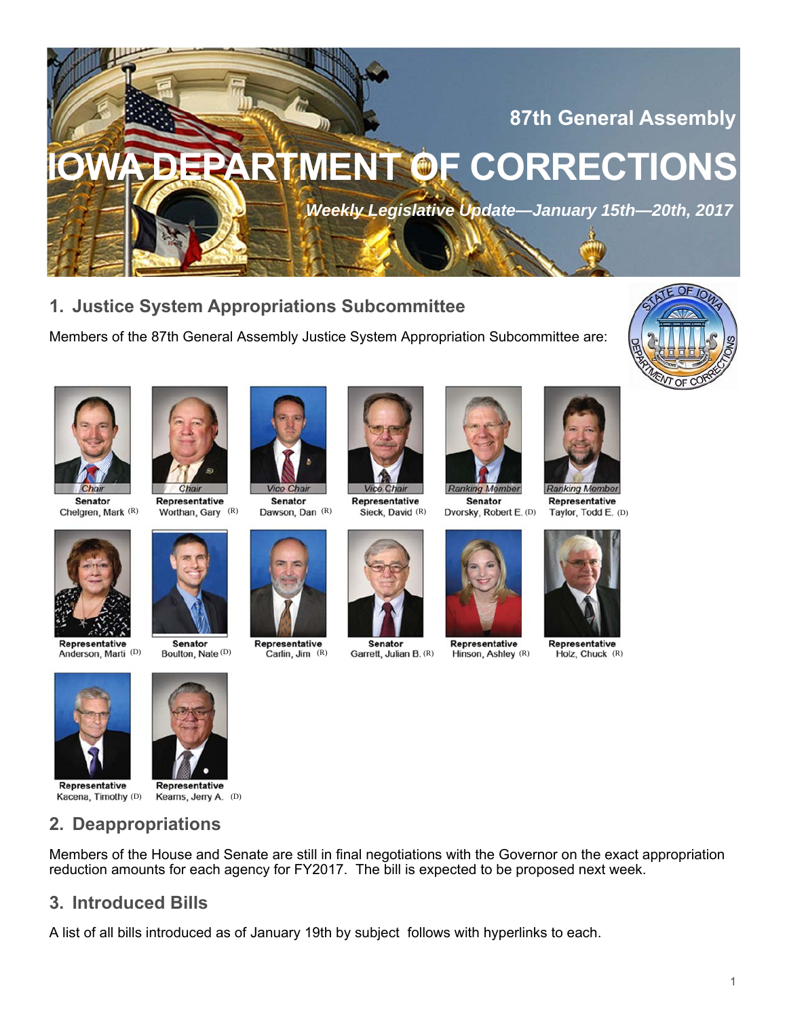

**1. Justice System Appropriations Subcommittee** 

Members of the 87th General Assembly Justice System Appropriation Subcommittee are:





**Senator** 



Representative Chelgren, Mark (R) Worthan, Gary (R) Dawson, Dan (R) Sieck, David (R) Dvorsky, Robert E. (D) Taylor, Todd E. (D)









Vice Chai

**Senator** 



**Ranking Member** 

**Senator** 

Representative Senator Representative Senator Representative Representative Representative Senator Representative<br>Anderson, Marti (D) Boulton, Nate (D) Carlin, Jim (R) Garrett, Julian B. (R) Hinson, Ashley (R) Holz, Chuck



Representative





Representative

Representative Kacena, Timothy (D) Kearns, Jerry A. (D)



**Senator** 

# **2. Deappropriations**

Members of the House and Senate are still in final negotiations with the Governor on the exact appropriation reduction amounts for each agency for FY2017. The bill is expected to be proposed next week.

# **3. Introduced Bills**

A list of all bills introduced as of January 19th by subject follows with hyperlinks to each.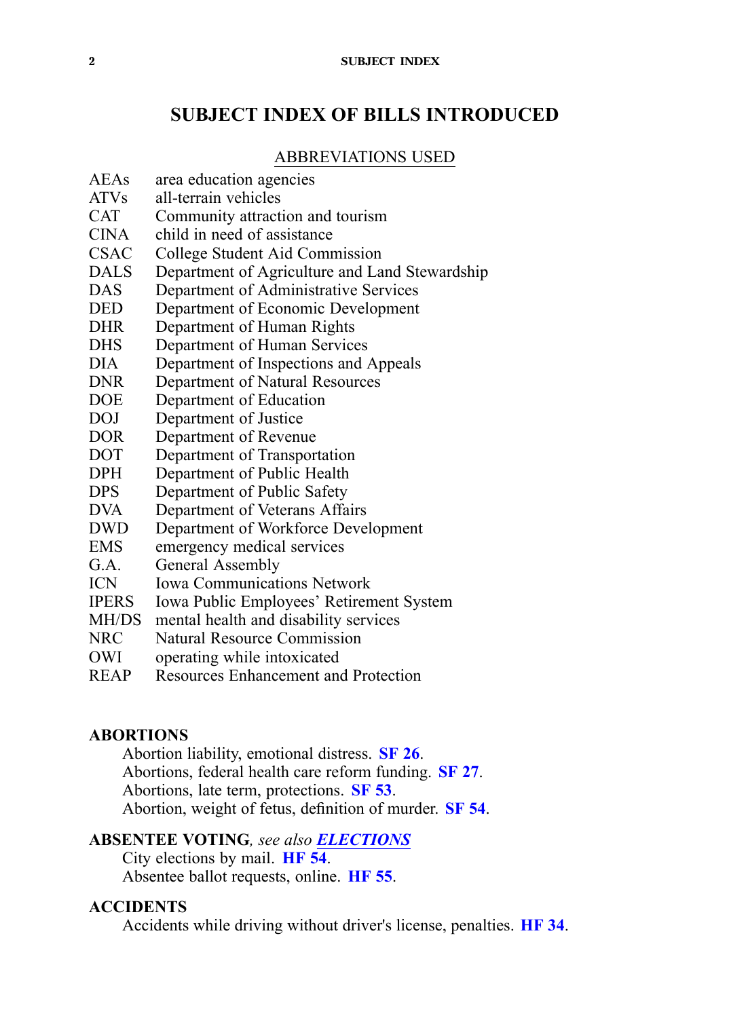## **SUBJECT INDEX OF BILLS INTRODUCED**

#### ABBREVIATIONS USED

- AEAs area education agencies
- ATVs all-terrain vehicles
- CAT Community attraction and tourism
- CINA child in need of assistance
- CSAC College Student Aid Commission<br>DALS Denartment of Agriculture and La
- Department of Agriculture and Land Stewardship
- DAS Department of Administrative Services<br>DED Department of Economic Development
- DED Department of Economic Development<br>DHR Department of Human Rights
- Department of Human Rights
- DHS Department of Human Services
- DIA Department of Inspections and Appeals
- DNR Department of Natural Resources
- DOE Department of Education
- DOJ Department of Justice
- DOR Department of Revenue
- DOT Department of Transportation
- DPH Department of Public Health<br>DPS Department of Public Safety
- Department of Public Safety
- DVA Department of Veterans Affairs
- DWD Department of Workforce Development
- EMS emergency medical services
- G.A. General Assembly
- ICN Iowa Communications Network
- IPERS Iowa Public Employees' Retirement System
- MH/DS mental health and disability services
- NRC Natural Resource Commission
- OWI operating while intoxicated
- REAP Resources Enhancement and Protection

### **ABORTIONS**

Abortion liability, emotional distress. **[SF](https://www.legis.iowa.gov/legislation/BillBook?ga=87&ba=SF26) 26**. Abortions, federal health care reform funding. **[SF](https://www.legis.iowa.gov/legislation/BillBook?ga=87&ba=SF27) 27**. Abortions, late term, protections. **[SF](https://www.legis.iowa.gov/legislation/BillBook?ga=87&ba=SF53) 53**. Abortion, weight of fetus, definition of murder. **[SF](https://www.legis.iowa.gov/legislation/BillBook?ga=87&ba=SF54) 54**.

### **ABSENTEE VOTING***, see also [ELECTIONS](#page-9-0)*

City elections by mail. **[HF](https://www.legis.iowa.gov/legislation/BillBook?ga=87&ba=HF54) 54**. Absentee ballot requests, online. **[HF](https://www.legis.iowa.gov/legislation/BillBook?ga=87&ba=HF55) 55**.

#### **ACCIDENTS**

Accidents while driving without driver's license, penalties. **[HF](https://www.legis.iowa.gov/legislation/BillBook?ga=87&ba=HF34) 34**.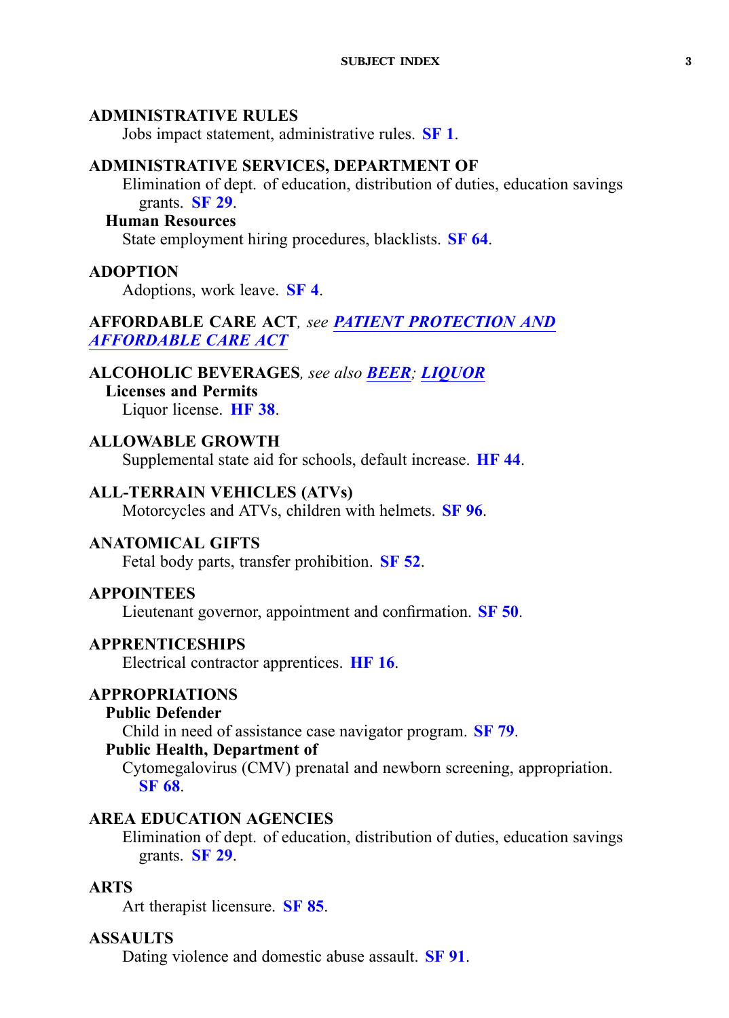### <span id="page-2-0"></span>**ADMINISTRATIVE RULES**

Jobs impact statement, administrative rules. **[SF](https://www.legis.iowa.gov/legislation/BillBook?ga=87&ba=SF1) 1**.

### **ADMINISTRATIVE SERVICES, DEPARTMENT OF**

Elimination of dept. of education, distribution of duties, education savings grants. **[SF](https://www.legis.iowa.gov/legislation/BillBook?ga=87&ba=SF29) 29**.

#### **Human Resources**

State employment hiring procedures, blacklists. **[SF](https://www.legis.iowa.gov/legislation/BillBook?ga=87&ba=SF64) 64**.

### **ADOPTION**

Adoptions, work leave. **[SF](https://www.legis.iowa.gov/legislation/BillBook?ga=87&ba=SF4) 4**.

## **AFFORDABLE CARE ACT***, see PATIENT [PROTECTION](#page-20-0) AND [AFFORDABLE](#page-20-0) CARE ACT*

## **ALCOHOLIC BEVERAGES***, see also BEER; [LIQUOR](#page-17-0)*

**Licenses and Permits**

Liquor license. **[HF](https://www.legis.iowa.gov/legislation/BillBook?ga=87&ba=HF38) 38**.

### **ALLOWABLE GROWTH**

Supplemental state aid for schools, default increase. **[HF](https://www.legis.iowa.gov/legislation/BillBook?ga=87&ba=HF44) 44**.

### **ALL-TERRAIN VEHICLES (ATVs)**

Motorcycles and ATVs, children with helmets. **[SF](https://www.legis.iowa.gov/legislation/BillBook?ga=87&ba=SF96) 96**.

### **ANATOMICAL GIFTS**

Fetal body parts, transfer prohibition. **[SF](https://www.legis.iowa.gov/legislation/BillBook?ga=87&ba=SF52) 52**.

### **APPOINTEES**

Lieutenant governor, appointment and confirmation. **[SF](https://www.legis.iowa.gov/legislation/BillBook?ga=87&ba=SF50) 50**.

### **APPRENTICESHIPS**

Electrical contractor apprentices. **[HF](https://www.legis.iowa.gov/legislation/BillBook?ga=87&ba=HF16) 16**.

### **APPROPRIATIONS**

#### **Public Defender**

Child in need of assistance case navigator program. **[SF](https://www.legis.iowa.gov/legislation/BillBook?ga=87&ba=SF79) 79**.

### **Public Health, Department of**

Cytomegalovirus (CMV) prenatal and newborn screening, appropriation. **[SF](https://www.legis.iowa.gov/legislation/BillBook?ga=87&ba=SF68) 68**.

### **AREA EDUCATION AGENCIES**

Elimination of dept. of education, distribution of duties, education savings grants. **[SF](https://www.legis.iowa.gov/legislation/BillBook?ga=87&ba=SF29) 29**.

### **ARTS**

Art therapist licensure. **[SF](https://www.legis.iowa.gov/legislation/BillBook?ga=87&ba=SF85) 85**.

### **ASSAULTS**

Dating violence and domestic abuse assault. **[SF](https://www.legis.iowa.gov/legislation/BillBook?ga=87&ba=SF91) 91**.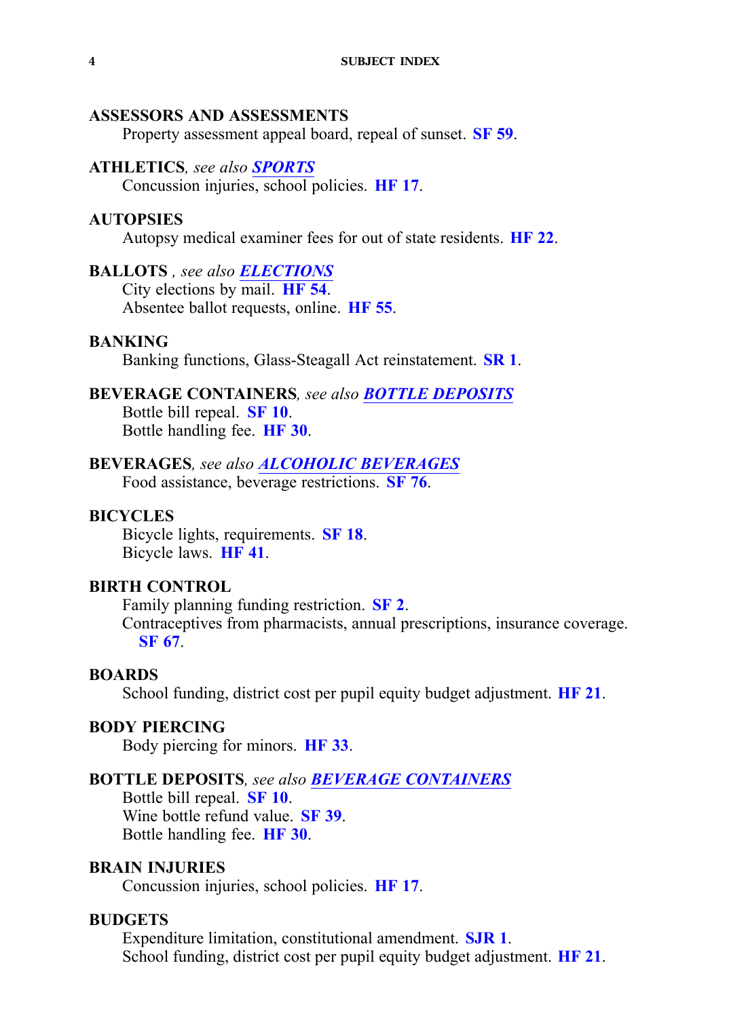### <span id="page-3-0"></span>**ASSESSORS AND ASSESSMENTS**

Property assessment appeal board, repeal of sunset. **[SF](https://www.legis.iowa.gov/legislation/BillBook?ga=87&ba=SF59) 59**.

#### **ATHLETICS***, see also [SPORTS](#page-26-0)*

Concussion injuries, school policies. **[HF](https://www.legis.iowa.gov/legislation/BillBook?ga=87&ba=HF17) 17**.

#### **AUTOPSIES**

Autopsy medical examiner fees for out of state residents. **[HF](https://www.legis.iowa.gov/legislation/BillBook?ga=87&ba=HF22) 22**.

### **BALLOTS** *, see also [ELECTIONS](#page-9-0)*

City elections by mail. **[HF](https://www.legis.iowa.gov/legislation/BillBook?ga=87&ba=HF54) 54**. Absentee ballot requests, online. **[HF](https://www.legis.iowa.gov/legislation/BillBook?ga=87&ba=HF55) 55**.

#### **BANKING**

Banking functions, Glass-Steagall Act reinstatement. **[SR](https://www.legis.iowa.gov/legislation/BillBook?ga=87&ba=SR1) 1**.

### **BEVERAGE CONTAINERS***, see also BOTTLE DEPOSITS* Bottle bill repeal. **[SF](https://www.legis.iowa.gov/legislation/BillBook?ga=87&ba=SF10) 10**. Bottle handling fee. **[HF](https://www.legis.iowa.gov/legislation/BillBook?ga=87&ba=HF30) 30**.

### **BEVERAGES***, see also ALCOHOLIC [BEVERAGES](#page-2-0)*

Food assistance, beverage restrictions. **[SF](https://www.legis.iowa.gov/legislation/BillBook?ga=87&ba=SF76) 76**.

#### **BICYCLES**

Bicycle lights, requirements. **[SF](https://www.legis.iowa.gov/legislation/BillBook?ga=87&ba=SF18) 18**. Bicycle laws. **[HF](https://www.legis.iowa.gov/legislation/BillBook?ga=87&ba=HF41) 41**.

## **BIRTH CONTROL**

Family planning funding restriction. **[SF](https://www.legis.iowa.gov/legislation/BillBook?ga=87&ba=SF2) 2**. Contraceptives from pharmacists, annual prescriptions, insurance coverage. **[SF](https://www.legis.iowa.gov/legislation/BillBook?ga=87&ba=SF67) 67**.

#### **BOARDS**

School funding, district cost per pupil equity budget adjustment. **[HF](https://www.legis.iowa.gov/legislation/BillBook?ga=87&ba=HF21) 21**.

#### **BODY PIERCING**

Body piercing for minors. **[HF](https://www.legis.iowa.gov/legislation/BillBook?ga=87&ba=HF33) 33**.

### **BOTTLE DEPOSITS***, see also BEVERAGE CONTAINERS*

Bottle bill repeal. **[SF](https://www.legis.iowa.gov/legislation/BillBook?ga=87&ba=SF10) 10**. Wine bottle refund value. **[SF](https://www.legis.iowa.gov/legislation/BillBook?ga=87&ba=SF39) 39**. Bottle handling fee. **[HF](https://www.legis.iowa.gov/legislation/BillBook?ga=87&ba=HF30) 30**.

### **BRAIN INJURIES**

Concussion injuries, school policies. **[HF](https://www.legis.iowa.gov/legislation/BillBook?ga=87&ba=HF17) 17**.

### **BUDGETS**

Expenditure limitation, constitutional amendment. **[SJR](https://www.legis.iowa.gov/legislation/BillBook?ga=87&ba=SJR1) 1**. School funding, district cost per pupil equity budget adjustment. **[HF](https://www.legis.iowa.gov/legislation/BillBook?ga=87&ba=HF21) 21**.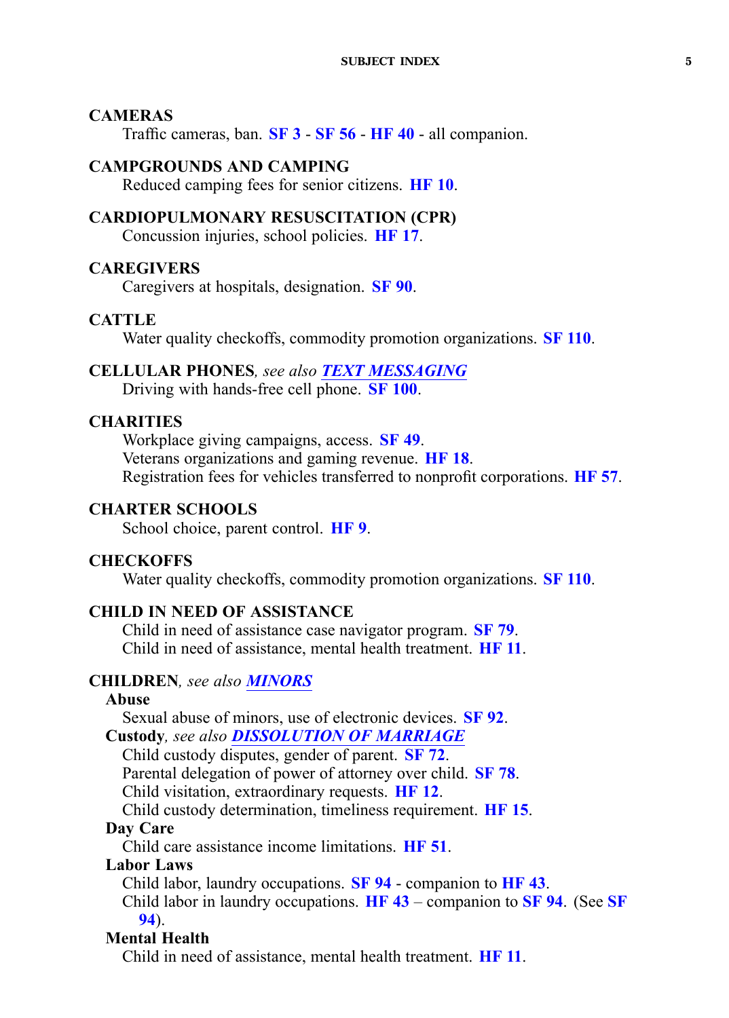### <span id="page-4-0"></span>**CAMERAS**

Traffic cameras, ban. **[SF](https://www.legis.iowa.gov/legislation/BillBook?ga=87&ba=SF3) 3** - **[SF](https://www.legis.iowa.gov/legislation/BillBook?ga=87&ba=SF56) 56** - **[HF](https://www.legis.iowa.gov/legislation/BillBook?ga=87&ba=HF40) 40** - all companion.

### **CAMPGROUNDS AND CAMPING**

Reduced camping fees for senior citizens. **[HF](https://www.legis.iowa.gov/legislation/BillBook?ga=87&ba=HF10) 10**.

### **CARDIOPULMONARY RESUSCITATION (CPR)**

Concussion injuries, school policies. **[HF](https://www.legis.iowa.gov/legislation/BillBook?ga=87&ba=HF17) 17**.

### **CAREGIVERS**

Caregivers at hospitals, designation. **[SF](https://www.legis.iowa.gov/legislation/BillBook?ga=87&ba=SF90) 90**.

#### **CATTLE**

Water quality checkoffs, commodity promotion organizations. **SF [110](https://www.legis.iowa.gov/legislation/BillBook?ga=87&ba=SF110)**.

#### **CELLULAR PHONES***, see also TEXT [MESSAGING](#page-27-0)*

Driving with hands-free cell phone. **SF [100](https://www.legis.iowa.gov/legislation/BillBook?ga=87&ba=SF100)**.

### **CHARITIES**

Workplace giving campaigns, access. **[SF](https://www.legis.iowa.gov/legislation/BillBook?ga=87&ba=SF49) 49**. Veterans organizations and gaming revenue. **[HF](https://www.legis.iowa.gov/legislation/BillBook?ga=87&ba=HF18) 18**. Registration fees for vehicles transferred to nonprofit corporations. **[HF](https://www.legis.iowa.gov/legislation/BillBook?ga=87&ba=HF57) 57**.

### **CHARTER SCHOOLS**

School choice, paren<sup>t</sup> control. **[HF](https://www.legis.iowa.gov/legislation/BillBook?ga=87&ba=HF9) 9**.

#### **CHECKOFFS**

Water quality checkoffs, commodity promotion organizations. **SF [110](https://www.legis.iowa.gov/legislation/BillBook?ga=87&ba=SF110)**.

### **CHILD IN NEED OF ASSISTANCE**

Child in need of assistance case navigator program. **[SF](https://www.legis.iowa.gov/legislation/BillBook?ga=87&ba=SF79) 79**. Child in need of assistance, mental health treatment. **[HF](https://www.legis.iowa.gov/legislation/BillBook?ga=87&ba=HF11) 11**.

## **CHILDREN***, see also [MINORS](#page-18-0)*

### **Abuse**

Sexual abuse of minors, use of electronic devices. **[SF](https://www.legis.iowa.gov/legislation/BillBook?ga=87&ba=SF92) 92**. **Custody***, see also [DISSOLUTION](#page-7-0) OF MARRIAGE* Child custody disputes, gender of parent. **[SF](https://www.legis.iowa.gov/legislation/BillBook?ga=87&ba=SF72) 72**. Parental delegation of power of attorney over child. **[SF](https://www.legis.iowa.gov/legislation/BillBook?ga=87&ba=SF78) 78**. Child visitation, extraordinary requests. **[HF](https://www.legis.iowa.gov/legislation/BillBook?ga=87&ba=HF12) 12**. Child custody determination, timeliness requirement. **[HF](https://www.legis.iowa.gov/legislation/BillBook?ga=87&ba=HF15) 15**. **Day Care** Child care assistance income limitations. **[HF](https://www.legis.iowa.gov/legislation/BillBook?ga=87&ba=HF51) 51**. **Labor Laws**

Child labor, laundry occupations. **[SF](https://www.legis.iowa.gov/legislation/BillBook?ga=87&ba=SF94) 94** - companion to **[HF](https://www.legis.iowa.gov/legislation/BillBook?ga=87&ba=HF43) 43**.

Child labor in laundry occupations. **[HF](https://www.legis.iowa.gov/legislation/BillBook?ga=87&ba=HF43) 43** – companion to **[SF](https://www.legis.iowa.gov/legislation/BillBook?ga=87&ba=SF94) 94**. (See **[SF](https://www.legis.iowa.gov/legislation/BillBook?ga=87&ba=SF94) [94](https://www.legis.iowa.gov/legislation/BillBook?ga=87&ba=SF94)**).

### **Mental Health**

Child in need of assistance, mental health treatment. **[HF](https://www.legis.iowa.gov/legislation/BillBook?ga=87&ba=HF11) 11**.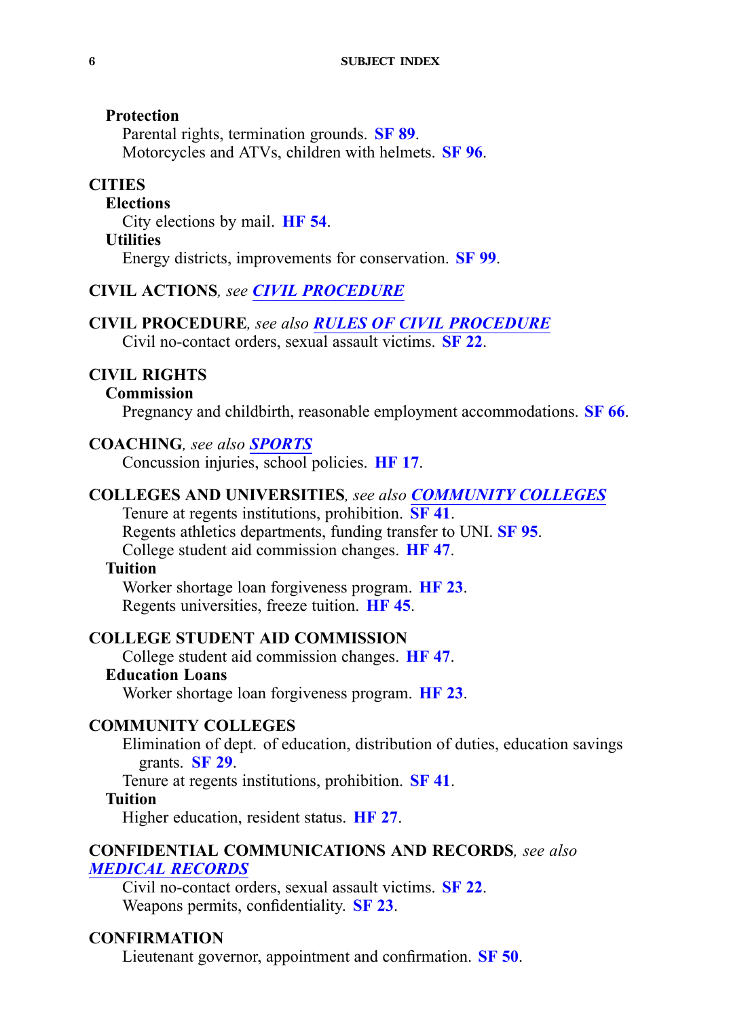### <span id="page-5-0"></span>**Protection**

Parental rights, termination grounds. **[SF](https://www.legis.iowa.gov/legislation/BillBook?ga=87&ba=SF89) 89**. Motorcycles and ATVs, children with helmets. **[SF](https://www.legis.iowa.gov/legislation/BillBook?ga=87&ba=SF96) 96**.

## **CITIES**

### **Elections**

City elections by mail. **[HF](https://www.legis.iowa.gov/legislation/BillBook?ga=87&ba=HF54) 54**.

### **Utilities**

Energy districts, improvements for conservation. **[SF](https://www.legis.iowa.gov/legislation/BillBook?ga=87&ba=SF99) 99**.

### **CIVIL ACTIONS***, see CIVIL PROCEDURE*

#### **CIVIL PROCEDURE***, see also RULES OF CIVIL PROCEDURE* Civil no-contact orders, sexual assault victims. **[SF](https://www.legis.iowa.gov/legislation/BillBook?ga=87&ba=SF22) 22**.

#### **CIVIL RIGHTS**

### **Commission**

Pregnancy and childbirth, reasonable employment accommodations. **[SF](https://www.legis.iowa.gov/legislation/BillBook?ga=87&ba=SF66) 66**.

### **COACHING***, see also [SPORTS](#page-26-0)*

Concussion injuries, school policies. **[HF](https://www.legis.iowa.gov/legislation/BillBook?ga=87&ba=HF17) 17**.

## **COLLEGES AND UNIVERSITIES***, see also COMMUNITY COLLEGES*

Tenure at regents institutions, prohibition. **[SF](https://www.legis.iowa.gov/legislation/BillBook?ga=87&ba=SF41) 41**. Regents athletics departments, funding transfer to UNI. **[SF](https://www.legis.iowa.gov/legislation/BillBook?ga=87&ba=SF95) 95**. College student aid commission changes. **[HF](https://www.legis.iowa.gov/legislation/BillBook?ga=87&ba=HF47) 47**.

### **Tuition**

Worker shortage loan forgiveness program. **[HF](https://www.legis.iowa.gov/legislation/BillBook?ga=87&ba=HF23) 23**. Regents universities, freeze tuition. **[HF](https://www.legis.iowa.gov/legislation/BillBook?ga=87&ba=HF45) 45**.

### **COLLEGE STUDENT AID COMMISSION**

College student aid commission changes. **[HF](https://www.legis.iowa.gov/legislation/BillBook?ga=87&ba=HF47) 47**. **Education Loans**

Worker shortage loan forgiveness program. **[HF](https://www.legis.iowa.gov/legislation/BillBook?ga=87&ba=HF23) 23**.

### **COMMUNITY COLLEGES**

Elimination of dept. of education, distribution of duties, education savings grants. **[SF](https://www.legis.iowa.gov/legislation/BillBook?ga=87&ba=SF29) 29**.

Tenure at regents institutions, prohibition. **[SF](https://www.legis.iowa.gov/legislation/BillBook?ga=87&ba=SF41) 41**.

#### **Tuition**

Higher education, resident status. **[HF](https://www.legis.iowa.gov/legislation/BillBook?ga=87&ba=HF27) 27**.

### **CONFIDENTIAL COMMUNICATIONS AND RECORDS***, see also MEDICAL [RECORDS](#page-18-0)*

Civil no-contact orders, sexual assault victims. **[SF](https://www.legis.iowa.gov/legislation/BillBook?ga=87&ba=SF22) 22**. Weapons permits, confidentiality. **[SF](https://www.legis.iowa.gov/legislation/BillBook?ga=87&ba=SF23) 23**.

### **CONFIRMATION**

Lieutenant governor, appointment and confirmation. **[SF](https://www.legis.iowa.gov/legislation/BillBook?ga=87&ba=SF50) 50**.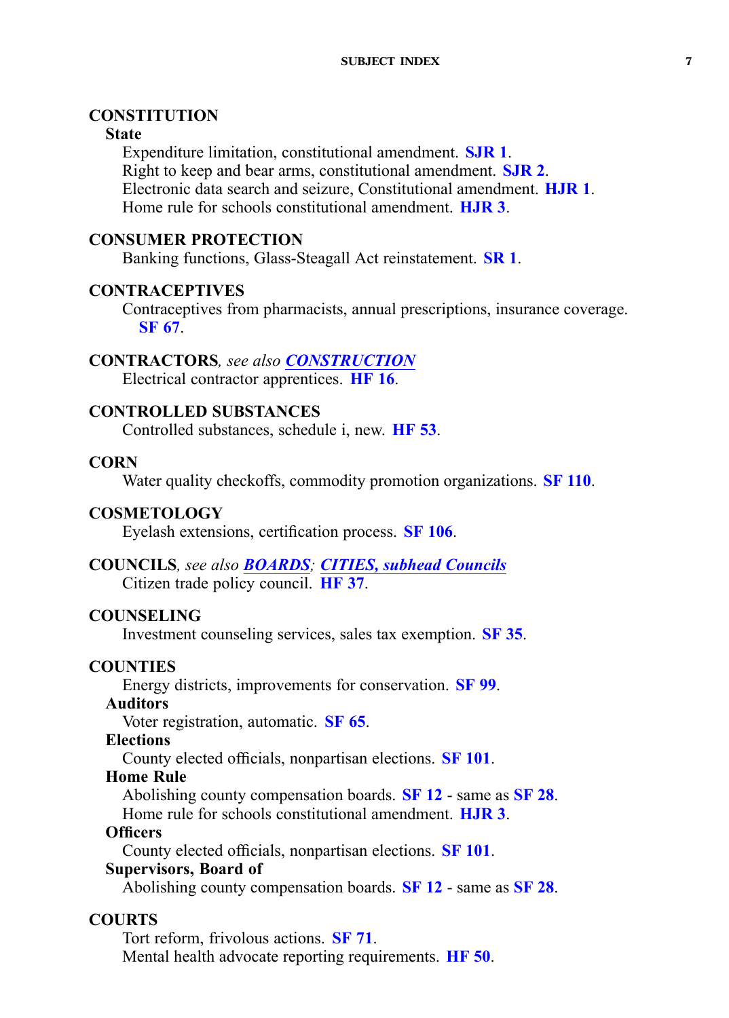### <span id="page-6-0"></span>**CONSTITUTION**

#### **State**

Expenditure limitation, constitutional amendment. **[SJR](https://www.legis.iowa.gov/legislation/BillBook?ga=87&ba=SJR1) 1**. Right to keep and bear arms, constitutional amendment. **[SJR](https://www.legis.iowa.gov/legislation/BillBook?ga=87&ba=SJR2) 2**. Electronic data search and seizure, Constitutional amendment. **[HJR](https://www.legis.iowa.gov/legislation/BillBook?ga=87&ba=HJR1) 1**. Home rule for schools constitutional amendment. **[HJR](https://www.legis.iowa.gov/legislation/BillBook?ga=87&ba=HJR3) 3**.

## **CONSUMER PROTECTION**

Banking functions, Glass-Steagall Act reinstatement. **[SR](https://www.legis.iowa.gov/legislation/BillBook?ga=87&ba=SR1) 1**.

### **CONTRACEPTIVES**

Contraceptives from pharmacists, annual prescriptions, insurance coverage. **[SF](https://www.legis.iowa.gov/legislation/BillBook?ga=87&ba=SF67) 67**.

### **CONTRACTORS***, see also CONSTRUCTION*

Electrical contractor apprentices. **[HF](https://www.legis.iowa.gov/legislation/BillBook?ga=87&ba=HF16) 16**.

## **CONTROLLED SUBSTANCES**

Controlled substances, schedule i, new. **[HF](https://www.legis.iowa.gov/legislation/BillBook?ga=87&ba=HF53) 53**.

### **CORN**

Water quality checkoffs, commodity promotion organizations. **SF [110](https://www.legis.iowa.gov/legislation/BillBook?ga=87&ba=SF110)**.

### **COSMETOLOGY**

Eyelash extensions, certification process. **SF [106](https://www.legis.iowa.gov/legislation/BillBook?ga=87&ba=SF106)**.

### **COUNCILS***, see also [BOARDS](#page-3-0); [CITIES,](#page-5-0) subhead Councils* Citizen trade policy council. **[HF](https://www.legis.iowa.gov/legislation/BillBook?ga=87&ba=HF37) 37**.

### **COUNSELING**

Investment counseling services, sales tax exemption. **[SF](https://www.legis.iowa.gov/legislation/BillBook?ga=87&ba=SF35) 35**.

### **COUNTIES**

Energy districts, improvements for conservation. **[SF](https://www.legis.iowa.gov/legislation/BillBook?ga=87&ba=SF99) 99**.

### **Auditors**

Voter registration, automatic. **[SF](https://www.legis.iowa.gov/legislation/BillBook?ga=87&ba=SF65) 65**.

#### **Elections**

County elected officials, nonpartisan elections. **SF [101](https://www.legis.iowa.gov/legislation/BillBook?ga=87&ba=SF101)**.

#### **Home Rule**

Abolishing county compensation boards. **[SF](https://www.legis.iowa.gov/legislation/BillBook?ga=87&ba=SF12) 12** - same as **[SF](https://www.legis.iowa.gov/legislation/BillBook?ga=87&ba=SF28) 28**.

Home rule for schools constitutional amendment. **[HJR](https://www.legis.iowa.gov/legislation/BillBook?ga=87&ba=HJR3) 3**.

### **Officers**

County elected officials, nonpartisan elections. **SF [101](https://www.legis.iowa.gov/legislation/BillBook?ga=87&ba=SF101)**.

### **Supervisors, Board of**

Abolishing county compensation boards. **[SF](https://www.legis.iowa.gov/legislation/BillBook?ga=87&ba=SF12) 12** - same as **[SF](https://www.legis.iowa.gov/legislation/BillBook?ga=87&ba=SF28) 28**.

### **COURTS**

Tort reform, frivolous actions. **[SF](https://www.legis.iowa.gov/legislation/BillBook?ga=87&ba=SF71) 71**. Mental health advocate reporting requirements. **[HF](https://www.legis.iowa.gov/legislation/BillBook?ga=87&ba=HF50) 50**.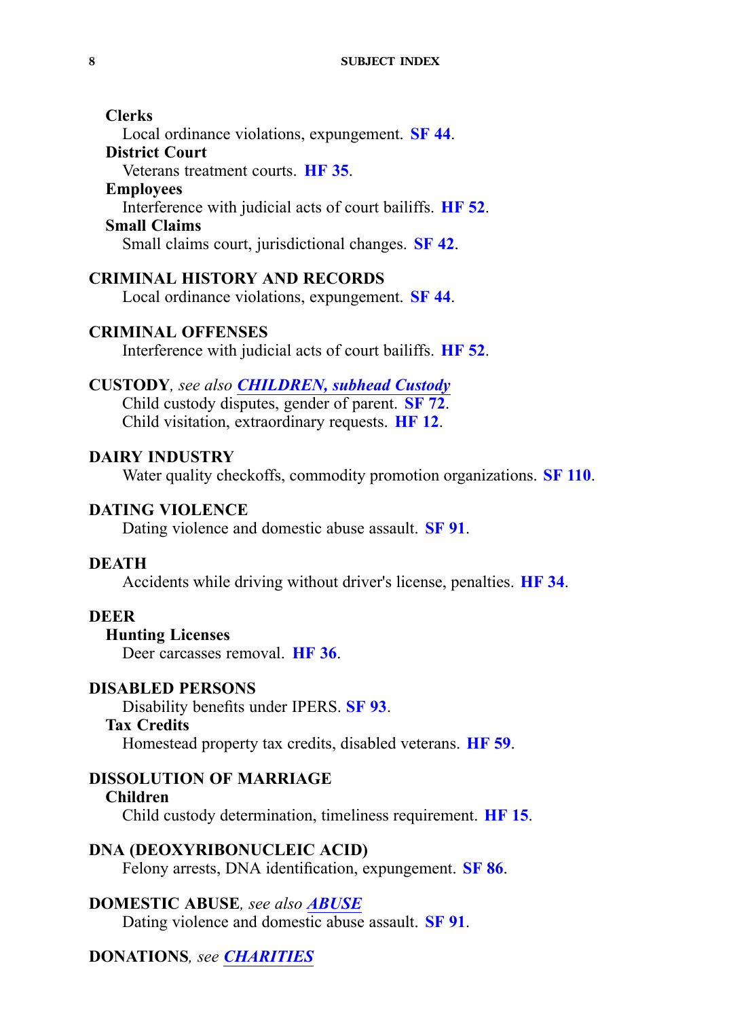### <span id="page-7-0"></span>**Clerks** Local ordinance violations, expungement. **[SF](https://www.legis.iowa.gov/legislation/BillBook?ga=87&ba=SF44) 44**. **District Court** Veterans treatment courts. **[HF](https://www.legis.iowa.gov/legislation/BillBook?ga=87&ba=HF35) 35**. **Employees** Interference with judicial acts of court bailiffs. **[HF](https://www.legis.iowa.gov/legislation/BillBook?ga=87&ba=HF52) 52**. **Small Claims**

Small claims court, jurisdictional changes. **[SF](https://www.legis.iowa.gov/legislation/BillBook?ga=87&ba=SF42) 42**.

#### **CRIMINAL HISTORY AND RECORDS**

Local ordinance violations, expungement. **[SF](https://www.legis.iowa.gov/legislation/BillBook?ga=87&ba=SF44) 44**.

### **CRIMINAL OFFENSES**

Interference with judicial acts of court bailiffs. **[HF](https://www.legis.iowa.gov/legislation/BillBook?ga=87&ba=HF52) 52**.

### **CUSTODY***, see also [CHILDREN,](#page-4-0) subhead Custody*

Child custody disputes, gender of parent. **[SF](https://www.legis.iowa.gov/legislation/BillBook?ga=87&ba=SF72) 72**. Child visitation, extraordinary requests. **[HF](https://www.legis.iowa.gov/legislation/BillBook?ga=87&ba=HF12) 12**.

#### **DAIRY INDUSTRY**

Water quality checkoffs, commodity promotion organizations. **SF [110](https://www.legis.iowa.gov/legislation/BillBook?ga=87&ba=SF110)**.

#### **DATING VIOLENCE**

Dating violence and domestic abuse assault. **[SF](https://www.legis.iowa.gov/legislation/BillBook?ga=87&ba=SF91) 91**.

#### **DEATH**

Accidents while driving without driver's license, penalties. **[HF](https://www.legis.iowa.gov/legislation/BillBook?ga=87&ba=HF34) 34**.

#### **DEER**

### **Hunting Licenses**

Deer carcasses removal. **[HF](https://www.legis.iowa.gov/legislation/BillBook?ga=87&ba=HF36) 36**.

#### **DISABLED PERSONS**

Disability benefits under IPERS. **[SF](https://www.legis.iowa.gov/legislation/BillBook?ga=87&ba=SF93) 93**.

#### **Tax Credits**

Homestead property tax credits, disabled veterans. **[HF](https://www.legis.iowa.gov/legislation/BillBook?ga=87&ba=HF59) 59**.

#### **DISSOLUTION OF MARRIAGE**

#### **Children**

Child custody determination, timeliness requirement. **[HF](https://www.legis.iowa.gov/legislation/BillBook?ga=87&ba=HF15) 15**.

# **DNA (DEOXYRIBONUCLEIC ACID)**

Felony arrests, DNA identification, expungement. **[SF](https://www.legis.iowa.gov/legislation/BillBook?ga=87&ba=SF86) 86**.

### **DOMESTIC ABUSE***, see also ABUSE*

Dating violence and domestic abuse assault. **[SF](https://www.legis.iowa.gov/legislation/BillBook?ga=87&ba=SF91) 91**.

### **DONATIONS***, see [CHARITIES](#page-4-0)*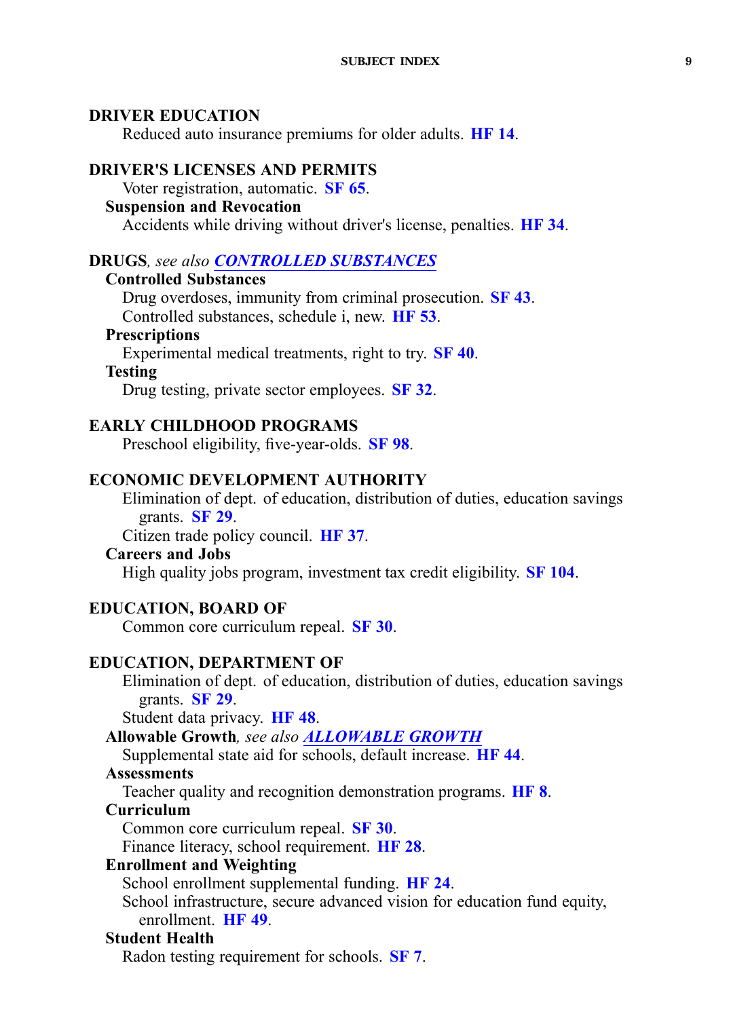### <span id="page-8-0"></span>**DRIVER EDUCATION**

Reduced auto insurance premiums for older adults. **[HF](https://www.legis.iowa.gov/legislation/BillBook?ga=87&ba=HF14) 14**.

### **DRIVER'S LICENSES AND PERMITS**

## Voter registration, automatic. **[SF](https://www.legis.iowa.gov/legislation/BillBook?ga=87&ba=SF65) 65**.

## **Suspension and Revocation**

Accidents while driving without driver's license, penalties. **[HF](https://www.legis.iowa.gov/legislation/BillBook?ga=87&ba=HF34) 34**.

### **DRUGS***, see also [CONTROLLED](#page-6-0) SUBSTANCES*

### **Controlled Substances**

Drug overdoses, immunity from criminal prosecution. **[SF](https://www.legis.iowa.gov/legislation/BillBook?ga=87&ba=SF43) 43**. Controlled substances, schedule i, new. **[HF](https://www.legis.iowa.gov/legislation/BillBook?ga=87&ba=HF53) 53**.

## **Prescriptions**

Experimental medical treatments, right to try. **[SF](https://www.legis.iowa.gov/legislation/BillBook?ga=87&ba=SF40) 40**.

### **Testing**

Drug testing, private sector employees. **[SF](https://www.legis.iowa.gov/legislation/BillBook?ga=87&ba=SF32) 32**.

### **EARLY CHILDHOOD PROGRAMS**

Preschool eligibility, five-year-olds. **[SF](https://www.legis.iowa.gov/legislation/BillBook?ga=87&ba=SF98) 98**.

### **ECONOMIC DEVELOPMENT AUTHORITY**

Elimination of dept. of education, distribution of duties, education savings grants. **[SF](https://www.legis.iowa.gov/legislation/BillBook?ga=87&ba=SF29) 29**.

Citizen trade policy council. **[HF](https://www.legis.iowa.gov/legislation/BillBook?ga=87&ba=HF37) 37**.

### **Careers and Jobs**

High quality jobs program, investment tax credit eligibility. **SF [104](https://www.legis.iowa.gov/legislation/BillBook?ga=87&ba=SF104)**.

### **EDUCATION, BOARD OF**

Common core curriculum repeal. **[SF](https://www.legis.iowa.gov/legislation/BillBook?ga=87&ba=SF30) 30**.

### **EDUCATION, DEPARTMENT OF**

Elimination of dept. of education, distribution of duties, education savings grants. **[SF](https://www.legis.iowa.gov/legislation/BillBook?ga=87&ba=SF29) 29**.

Student data privacy. **[HF](https://www.legis.iowa.gov/legislation/BillBook?ga=87&ba=HF48) 48**.

**Allowable Growth***, see also [ALLOWABLE](#page-2-0) GROWTH*

Supplemental state aid for schools, default increase. **[HF](https://www.legis.iowa.gov/legislation/BillBook?ga=87&ba=HF44) 44**.

## **Assessments**

Teacher quality and recognition demonstration programs. **[HF](https://www.legis.iowa.gov/legislation/BillBook?ga=87&ba=HF8) 8**.

### **Curriculum**

Common core curriculum repeal. **[SF](https://www.legis.iowa.gov/legislation/BillBook?ga=87&ba=SF30) 30**.

Finance literacy, school requirement. **[HF](https://www.legis.iowa.gov/legislation/BillBook?ga=87&ba=HF28) 28**.

## **Enrollment and Weighting**

School enrollment supplemental funding. **[HF](https://www.legis.iowa.gov/legislation/BillBook?ga=87&ba=HF24) 24**.

School infrastructure, secure advanced vision for education fund equity, enrollment. **[HF](https://www.legis.iowa.gov/legislation/BillBook?ga=87&ba=HF49) 49**.

### **Student Health**

Radon testing requirement for schools. **[SF](https://www.legis.iowa.gov/legislation/BillBook?ga=87&ba=SF7) 7**.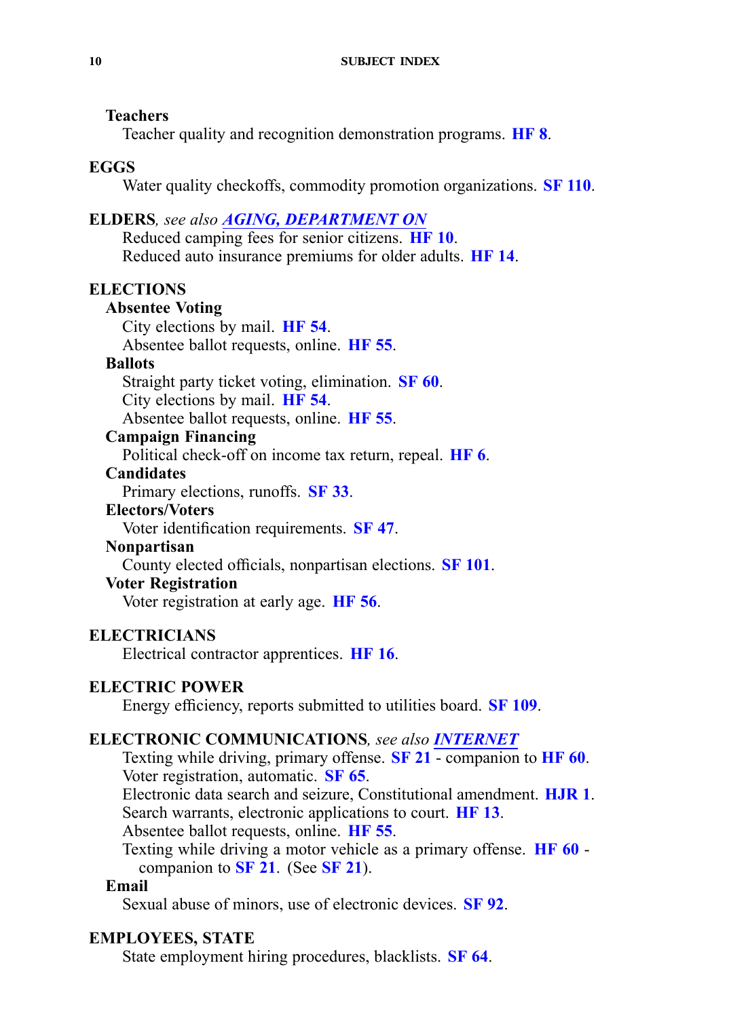### <span id="page-9-0"></span>**Teachers**

Teacher quality and recognition demonstration programs. **[HF](https://www.legis.iowa.gov/legislation/BillBook?ga=87&ba=HF8) 8**.

### **EGGS**

Water quality checkoffs, commodity promotion organizations. **SF [110](https://www.legis.iowa.gov/legislation/BillBook?ga=87&ba=SF110)**.

### **ELDERS***, see also AGING, DEPARTMENT ON*

Reduced camping fees for senior citizens. **[HF](https://www.legis.iowa.gov/legislation/BillBook?ga=87&ba=HF10) 10**. Reduced auto insurance premiums for older adults. **[HF](https://www.legis.iowa.gov/legislation/BillBook?ga=87&ba=HF14) 14**.

### **ELECTIONS**

### **Absentee Voting**

City elections by mail. **[HF](https://www.legis.iowa.gov/legislation/BillBook?ga=87&ba=HF54) 54**.

Absentee ballot requests, online. **[HF](https://www.legis.iowa.gov/legislation/BillBook?ga=87&ba=HF55) 55**.

### **Ballots**

Straight party ticket voting, elimination. **[SF](https://www.legis.iowa.gov/legislation/BillBook?ga=87&ba=SF60) 60**.

City elections by mail. **[HF](https://www.legis.iowa.gov/legislation/BillBook?ga=87&ba=HF54) 54**.

Absentee ballot requests, online. **[HF](https://www.legis.iowa.gov/legislation/BillBook?ga=87&ba=HF55) 55**.

## **Campaign Financing**

Political check-off on income tax return, repeal. **[HF](https://www.legis.iowa.gov/legislation/BillBook?ga=87&ba=HF6) 6**.

### **Candidates**

Primary elections, runoffs. **[SF](https://www.legis.iowa.gov/legislation/BillBook?ga=87&ba=SF33) 33**.

### **Electors/Voters**

Voter identification requirements. **[SF](https://www.legis.iowa.gov/legislation/BillBook?ga=87&ba=SF47) 47**.

### **Nonpartisan**

County elected officials, nonpartisan elections. **SF [101](https://www.legis.iowa.gov/legislation/BillBook?ga=87&ba=SF101)**.

## **Voter Registration**

Voter registration at early age. **[HF](https://www.legis.iowa.gov/legislation/BillBook?ga=87&ba=HF56) 56**.

### **ELECTRICIANS**

Electrical contractor apprentices. **[HF](https://www.legis.iowa.gov/legislation/BillBook?ga=87&ba=HF16) 16**.

### **ELECTRIC POWER**

Energy efficiency, reports submitted to utilities board. **SF [109](https://www.legis.iowa.gov/legislation/BillBook?ga=87&ba=SF109)**.

### **ELECTRONIC COMMUNICATIONS***, see also INTERNET*

Texting while driving, primary offense. **[SF](https://www.legis.iowa.gov/legislation/BillBook?ga=87&ba=SF21) 21** - companion to **[HF](https://www.legis.iowa.gov/legislation/BillBook?ga=87&ba=HF60) 60**. Voter registration, automatic. **[SF](https://www.legis.iowa.gov/legislation/BillBook?ga=87&ba=SF65) 65**.

Electronic data search and seizure, Constitutional amendment. **[HJR](https://www.legis.iowa.gov/legislation/BillBook?ga=87&ba=HJR1) 1**. Search warrants, electronic applications to court. **[HF](https://www.legis.iowa.gov/legislation/BillBook?ga=87&ba=HF13) 13**.

Absentee ballot requests, online. **[HF](https://www.legis.iowa.gov/legislation/BillBook?ga=87&ba=HF55) 55**.

Texting while driving <sup>a</sup> motor vehicle as <sup>a</sup> primary offense. **[HF](https://www.legis.iowa.gov/legislation/BillBook?ga=87&ba=HF60) 60** companion to **[SF](https://www.legis.iowa.gov/legislation/BillBook?ga=87&ba=SF21) 21**. (See **[SF](https://www.legis.iowa.gov/legislation/BillBook?ga=87&ba=SF21) 21**).

### **Email**

Sexual abuse of minors, use of electronic devices. **[SF](https://www.legis.iowa.gov/legislation/BillBook?ga=87&ba=SF92) 92**.

### **EMPLOYEES, STATE**

State employment hiring procedures, blacklists. **[SF](https://www.legis.iowa.gov/legislation/BillBook?ga=87&ba=SF64) 64**.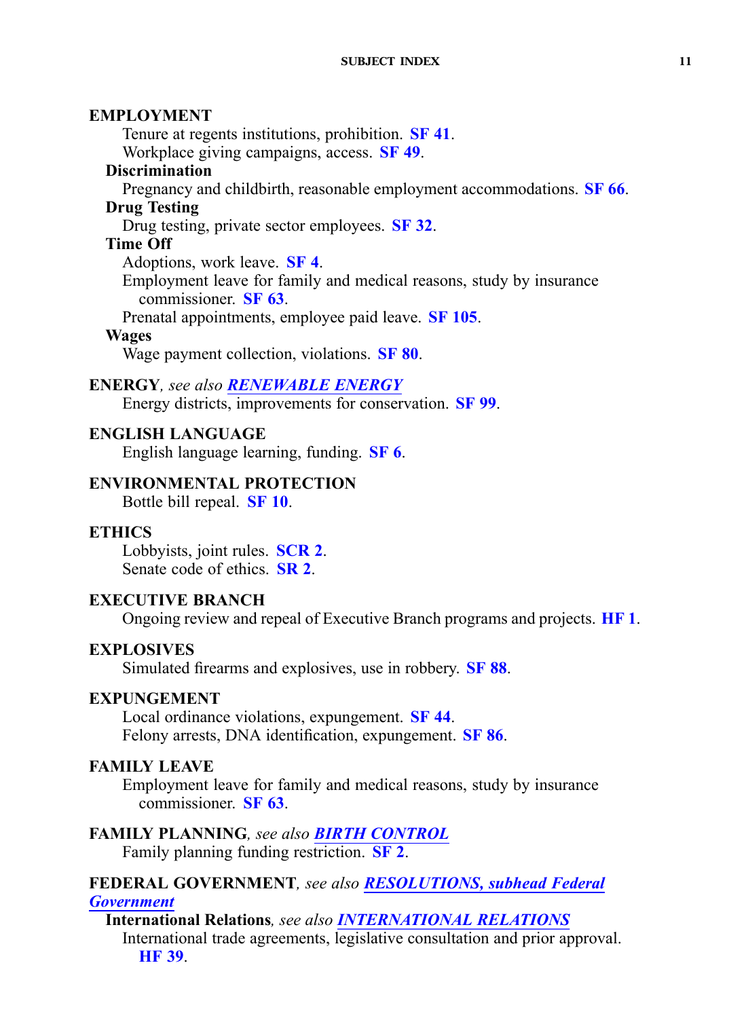### <span id="page-10-0"></span>**EMPLOYMENT**

Tenure at regents institutions, prohibition. **[SF](https://www.legis.iowa.gov/legislation/BillBook?ga=87&ba=SF41) 41**.

Workplace giving campaigns, access. **[SF](https://www.legis.iowa.gov/legislation/BillBook?ga=87&ba=SF49) 49**.

## **Discrimination**

Pregnancy and childbirth, reasonable employment accommodations. **[SF](https://www.legis.iowa.gov/legislation/BillBook?ga=87&ba=SF66) 66**. **Drug Testing**

## Drug testing, private sector employees. **[SF](https://www.legis.iowa.gov/legislation/BillBook?ga=87&ba=SF32) 32**.

**Time Off**

Adoptions, work leave. **[SF](https://www.legis.iowa.gov/legislation/BillBook?ga=87&ba=SF4) 4**.

Employment leave for family and medical reasons, study by insurance commissioner. **[SF](https://www.legis.iowa.gov/legislation/BillBook?ga=87&ba=SF63) 63**.

Prenatal appointments, employee paid leave. **SF [105](https://www.legis.iowa.gov/legislation/BillBook?ga=87&ba=SF105)**.

### **Wages**

Wage paymen<sup>t</sup> collection, violations. **[SF](https://www.legis.iowa.gov/legislation/BillBook?ga=87&ba=SF80) 80**.

### **ENERGY***, see also [RENEWABLE](#page-23-0) ENERGY*

Energy districts, improvements for conservation. **[SF](https://www.legis.iowa.gov/legislation/BillBook?ga=87&ba=SF99) 99**.

### **ENGLISH LANGUAGE**

English language learning, funding. **[SF](https://www.legis.iowa.gov/legislation/BillBook?ga=87&ba=SF6) 6**.

### **ENVIRONMENTAL PROTECTION**

Bottle bill repeal. **[SF](https://www.legis.iowa.gov/legislation/BillBook?ga=87&ba=SF10) 10**.

### **ETHICS**

Lobbyists, joint rules. **[SCR](https://www.legis.iowa.gov/legislation/BillBook?ga=87&ba=SCR2) 2**. Senate code of ethics. **[SR](https://www.legis.iowa.gov/legislation/BillBook?ga=87&ba=SR2) 2**.

### **EXECUTIVE BRANCH**

Ongoing review and repeal of Executive Branch programs and projects. **[HF](https://www.legis.iowa.gov/legislation/BillBook?ga=87&ba=HF1) 1**.

### **EXPLOSIVES**

Simulated firearms and explosives, use in robbery. **[SF](https://www.legis.iowa.gov/legislation/BillBook?ga=87&ba=SF88) 88**.

### **EXPUNGEMENT**

Local ordinance violations, expungement. **[SF](https://www.legis.iowa.gov/legislation/BillBook?ga=87&ba=SF44) 44**. Felony arrests, DNA identification, expungement. **[SF](https://www.legis.iowa.gov/legislation/BillBook?ga=87&ba=SF86) 86**.

### **FAMILY LEAVE**

Employment leave for family and medical reasons, study by insurance commissioner. **[SF](https://www.legis.iowa.gov/legislation/BillBook?ga=87&ba=SF63) 63**.

# **FAMILY PLANNING***, see also BIRTH [CONTROL](#page-3-0)*

Family planning funding restriction. **[SF](https://www.legis.iowa.gov/legislation/BillBook?ga=87&ba=SF2) 2**.

#### **FEDERAL GOVERNMENT***, see also [RESOLUTIONS,](#page-23-0) subhead Federal [Government](#page-23-0)*

**International Relations***, see also [INTERNATIONAL](#page-14-0) RELATIONS* International trade agreements, legislative consultation and prior approval. **[HF](https://www.legis.iowa.gov/legislation/BillBook?ga=87&ba=HF39) 39**.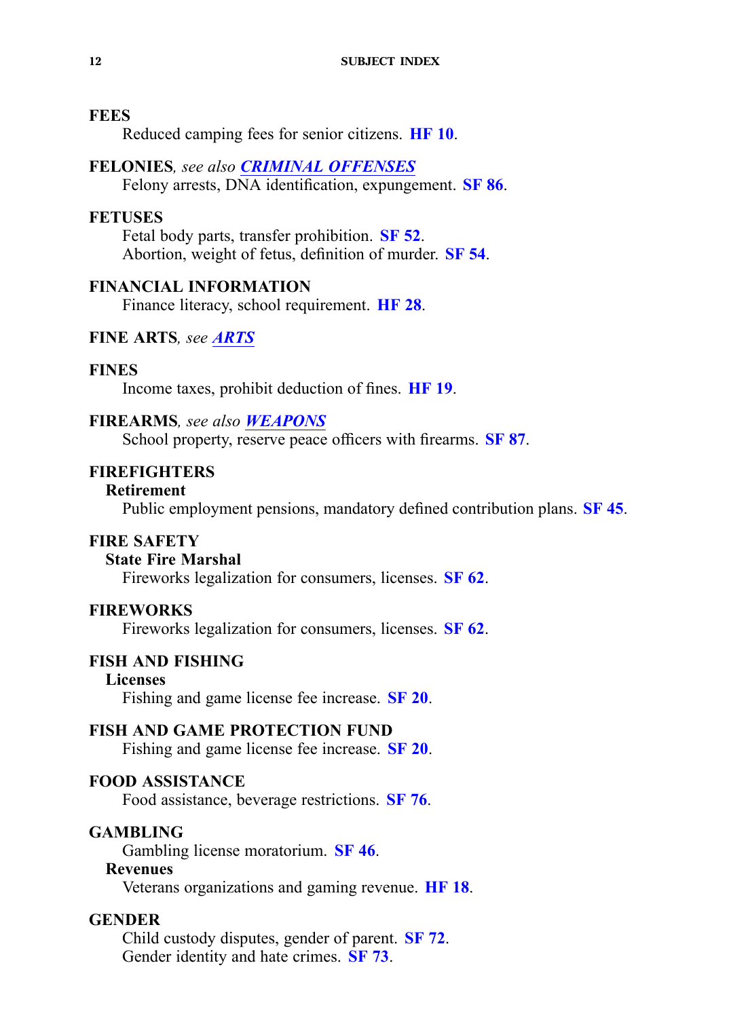### **FEES**

Reduced camping fees for senior citizens. **[HF](https://www.legis.iowa.gov/legislation/BillBook?ga=87&ba=HF10) 10**.

### **FELONIES***, see also CRIMINAL [OFFENSES](#page-7-0)*

Felony arrests, DNA identification, expungement. **[SF](https://www.legis.iowa.gov/legislation/BillBook?ga=87&ba=SF86) 86**.

### **FETUSES**

Fetal body parts, transfer prohibition. **[SF](https://www.legis.iowa.gov/legislation/BillBook?ga=87&ba=SF52) 52**. Abortion, weight of fetus, definition of murder. **[SF](https://www.legis.iowa.gov/legislation/BillBook?ga=87&ba=SF54) 54**.

### **FINANCIAL INFORMATION**

Finance literacy, school requirement. **[HF](https://www.legis.iowa.gov/legislation/BillBook?ga=87&ba=HF28) 28**.

### **FINE ARTS***, see [ARTS](#page-2-0)*

### **FINES**

Income taxes, prohibit deduction of fines. **[HF](https://www.legis.iowa.gov/legislation/BillBook?ga=87&ba=HF19) 19**.

### **FIREARMS***, see also [WEAPONS](#page-29-0)*

School property, reserve peace officers with firearms. **[SF](https://www.legis.iowa.gov/legislation/BillBook?ga=87&ba=SF87) 87**.

### **FIREFIGHTERS**

#### **Retirement**

Public employment pensions, mandatory defined contribution plans. **[SF](https://www.legis.iowa.gov/legislation/BillBook?ga=87&ba=SF45) 45**.

### **FIRE SAFETY**

### **State Fire Marshal**

Fireworks legalization for consumers, licenses. **[SF](https://www.legis.iowa.gov/legislation/BillBook?ga=87&ba=SF62) 62**.

#### **FIREWORKS**

Fireworks legalization for consumers, licenses. **[SF](https://www.legis.iowa.gov/legislation/BillBook?ga=87&ba=SF62) 62**.

### **FISH AND FISHING**

### **Licenses**

Fishing and game license fee increase. **[SF](https://www.legis.iowa.gov/legislation/BillBook?ga=87&ba=SF20) 20**.

### **FISH AND GAME PROTECTION FUND**

Fishing and game license fee increase. **[SF](https://www.legis.iowa.gov/legislation/BillBook?ga=87&ba=SF20) 20**.

### **FOOD ASSISTANCE**

Food assistance, beverage restrictions. **[SF](https://www.legis.iowa.gov/legislation/BillBook?ga=87&ba=SF76) 76**.

### **GAMBLING**

Gambling license moratorium. **[SF](https://www.legis.iowa.gov/legislation/BillBook?ga=87&ba=SF46) 46**.

### **Revenues**

Veterans organizations and gaming revenue. **[HF](https://www.legis.iowa.gov/legislation/BillBook?ga=87&ba=HF18) 18**.

### **GENDER**

Child custody disputes, gender of parent. **[SF](https://www.legis.iowa.gov/legislation/BillBook?ga=87&ba=SF72) 72**. Gender identity and hate crimes. **[SF](https://www.legis.iowa.gov/legislation/BillBook?ga=87&ba=SF73) 73**.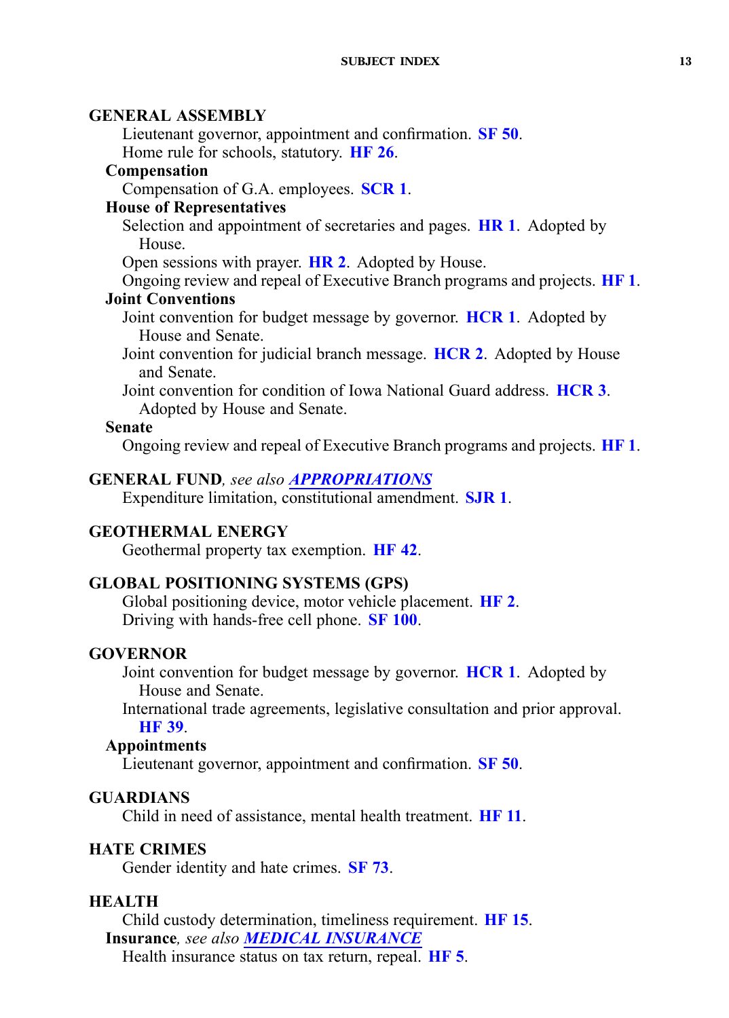### <span id="page-12-0"></span>**GENERAL ASSEMBLY**

Lieutenant governor, appointment and confirmation. **[SF](https://www.legis.iowa.gov/legislation/BillBook?ga=87&ba=SF50) 50**. Home rule for schools, statutory. **[HF](https://www.legis.iowa.gov/legislation/BillBook?ga=87&ba=HF26) 26**.

### **Compensation**

Compensation of G.A. employees. **[SCR](https://www.legis.iowa.gov/legislation/BillBook?ga=87&ba=SCR1) 1**.

## **House of Representatives**

Selection and appointment of secretaries and pages. **[HR](https://www.legis.iowa.gov/legislation/BillBook?ga=87&ba=HR1) 1**. Adopted by House.

Open sessions with prayer. **[HR](https://www.legis.iowa.gov/legislation/BillBook?ga=87&ba=HR2) 2**. Adopted by House.

Ongoing review and repeal of Executive Branch programs and projects. **[HF](https://www.legis.iowa.gov/legislation/BillBook?ga=87&ba=HF1) 1**.

## **Joint Conventions**

Joint convention for budget message by governor. **[HCR](https://www.legis.iowa.gov/legislation/BillBook?ga=87&ba=HCR1) 1**. Adopted by House and Senate.

Joint convention for judicial branch message. **[HCR](https://www.legis.iowa.gov/legislation/BillBook?ga=87&ba=HCR2) 2**. Adopted by House and Senate.

Joint convention for condition of Iowa National Guard address. **[HCR](https://www.legis.iowa.gov/legislation/BillBook?ga=87&ba=HCR3) 3**. Adopted by House and Senate.

### **Senate**

Ongoing review and repeal of Executive Branch programs and projects. **[HF](https://www.legis.iowa.gov/legislation/BillBook?ga=87&ba=HF1) 1**.

### **GENERAL FUND***, see also [APPROPRIATIONS](#page-2-0)*

Expenditure limitation, constitutional amendment. **[SJR](https://www.legis.iowa.gov/legislation/BillBook?ga=87&ba=SJR1) 1**.

### **GEOTHERMAL ENERGY**

Geothermal property tax exemption. **[HF](https://www.legis.iowa.gov/legislation/BillBook?ga=87&ba=HF42) 42**.

### **GLOBAL POSITIONING SYSTEMS (GPS)**

Global positioning device, motor vehicle placement. **[HF](https://www.legis.iowa.gov/legislation/BillBook?ga=87&ba=HF2) 2**. Driving with hands-free cell phone. **SF [100](https://www.legis.iowa.gov/legislation/BillBook?ga=87&ba=SF100)**.

### **GOVERNOR**

Joint convention for budget message by governor. **[HCR](https://www.legis.iowa.gov/legislation/BillBook?ga=87&ba=HCR1) 1**. Adopted by House and Senate.

International trade agreements, legislative consultation and prior approval. **[HF](https://www.legis.iowa.gov/legislation/BillBook?ga=87&ba=HF39) 39**.

### **Appointments**

Lieutenant governor, appointment and confirmation. **[SF](https://www.legis.iowa.gov/legislation/BillBook?ga=87&ba=SF50) 50**.

## **GUARDIANS**

Child in need of assistance, mental health treatment. **[HF](https://www.legis.iowa.gov/legislation/BillBook?ga=87&ba=HF11) 11**.

### **HATE CRIMES**

Gender identity and hate crimes. **[SF](https://www.legis.iowa.gov/legislation/BillBook?ga=87&ba=SF73) 73**.

### **HEALTH**

Child custody determination, timeliness requirement. **[HF](https://www.legis.iowa.gov/legislation/BillBook?ga=87&ba=HF15) 15**. **Insurance***, see also MEDICAL [INSURANCE](#page-17-0)*

Health insurance status on tax return, repeal. **[HF](https://www.legis.iowa.gov/legislation/BillBook?ga=87&ba=HF5) 5**.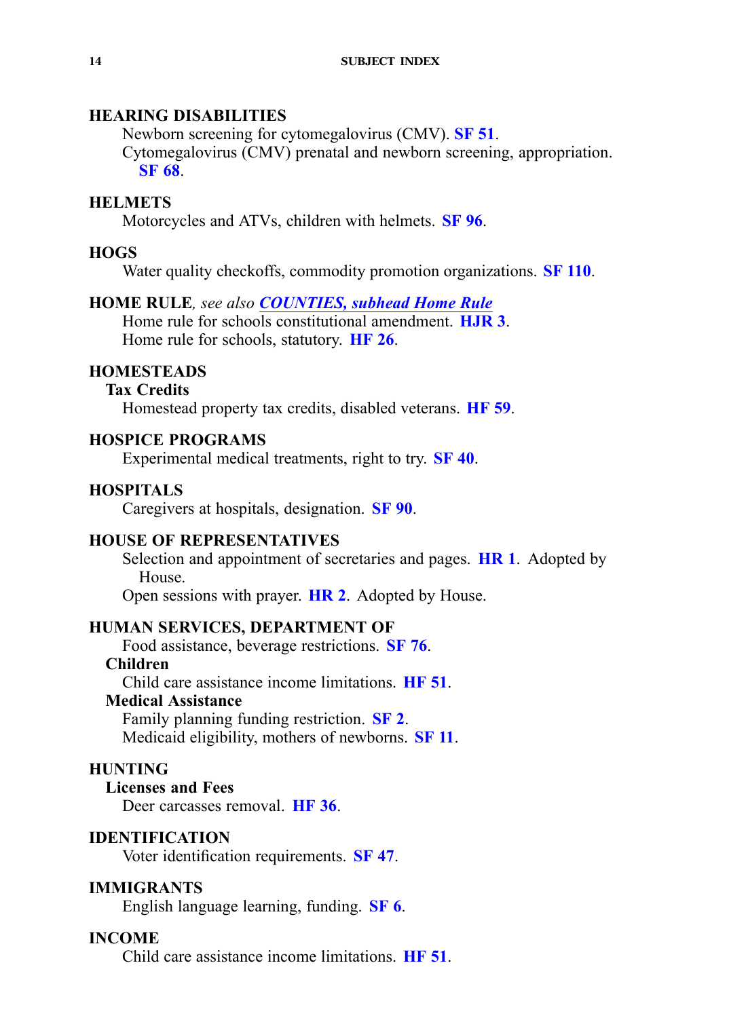## **HEARING DISABILITIES**

Newborn screening for cytomegalovirus (CMV). **[SF](https://www.legis.iowa.gov/legislation/BillBook?ga=87&ba=SF51) 51**. Cytomegalovirus (CMV) prenatal and newborn screening, appropriation. **[SF](https://www.legis.iowa.gov/legislation/BillBook?ga=87&ba=SF68) 68**.

### **HELMETS**

Motorcycles and ATVs, children with helmets. **[SF](https://www.legis.iowa.gov/legislation/BillBook?ga=87&ba=SF96) 96**.

### **HOGS**

Water quality checkoffs, commodity promotion organizations. **SF [110](https://www.legis.iowa.gov/legislation/BillBook?ga=87&ba=SF110)**.

### **HOME RULE***, see also [COUNTIES,](#page-6-0) subhead Home Rule*

Home rule for schools constitutional amendment. **[HJR](https://www.legis.iowa.gov/legislation/BillBook?ga=87&ba=HJR3) 3**. Home rule for schools, statutory. **[HF](https://www.legis.iowa.gov/legislation/BillBook?ga=87&ba=HF26) 26**.

### **HOMESTEADS**

### **Tax Credits**

Homestead property tax credits, disabled veterans. **[HF](https://www.legis.iowa.gov/legislation/BillBook?ga=87&ba=HF59) 59**.

### **HOSPICE PROGRAMS**

Experimental medical treatments, right to try. **[SF](https://www.legis.iowa.gov/legislation/BillBook?ga=87&ba=SF40) 40**.

### **HOSPITALS**

Caregivers at hospitals, designation. **[SF](https://www.legis.iowa.gov/legislation/BillBook?ga=87&ba=SF90) 90**.

### **HOUSE OF REPRESENTATIVES**

Selection and appointment of secretaries and pages. **[HR](https://www.legis.iowa.gov/legislation/BillBook?ga=87&ba=HR1) 1**. Adopted by House.

Open sessions with prayer. **[HR](https://www.legis.iowa.gov/legislation/BillBook?ga=87&ba=HR2) 2**. Adopted by House.

### **HUMAN SERVICES, DEPARTMENT OF**

Food assistance, beverage restrictions. **[SF](https://www.legis.iowa.gov/legislation/BillBook?ga=87&ba=SF76) 76**.

## **Children**

Child care assistance income limitations. **[HF](https://www.legis.iowa.gov/legislation/BillBook?ga=87&ba=HF51) 51**.

### **Medical Assistance**

Family planning funding restriction. **[SF](https://www.legis.iowa.gov/legislation/BillBook?ga=87&ba=SF2) 2**. Medicaid eligibility, mothers of newborns. **[SF](https://www.legis.iowa.gov/legislation/BillBook?ga=87&ba=SF11) 11**.

### **HUNTING**

**Licenses and Fees** Deer carcasses removal. **[HF](https://www.legis.iowa.gov/legislation/BillBook?ga=87&ba=HF36) 36**.

### **IDENTIFICATION**

Voter identification requirements. **[SF](https://www.legis.iowa.gov/legislation/BillBook?ga=87&ba=SF47) 47**.

### **IMMIGRANTS**

English language learning, funding. **[SF](https://www.legis.iowa.gov/legislation/BillBook?ga=87&ba=SF6) 6**.

### **INCOME**

Child care assistance income limitations. **[HF](https://www.legis.iowa.gov/legislation/BillBook?ga=87&ba=HF51) 51**.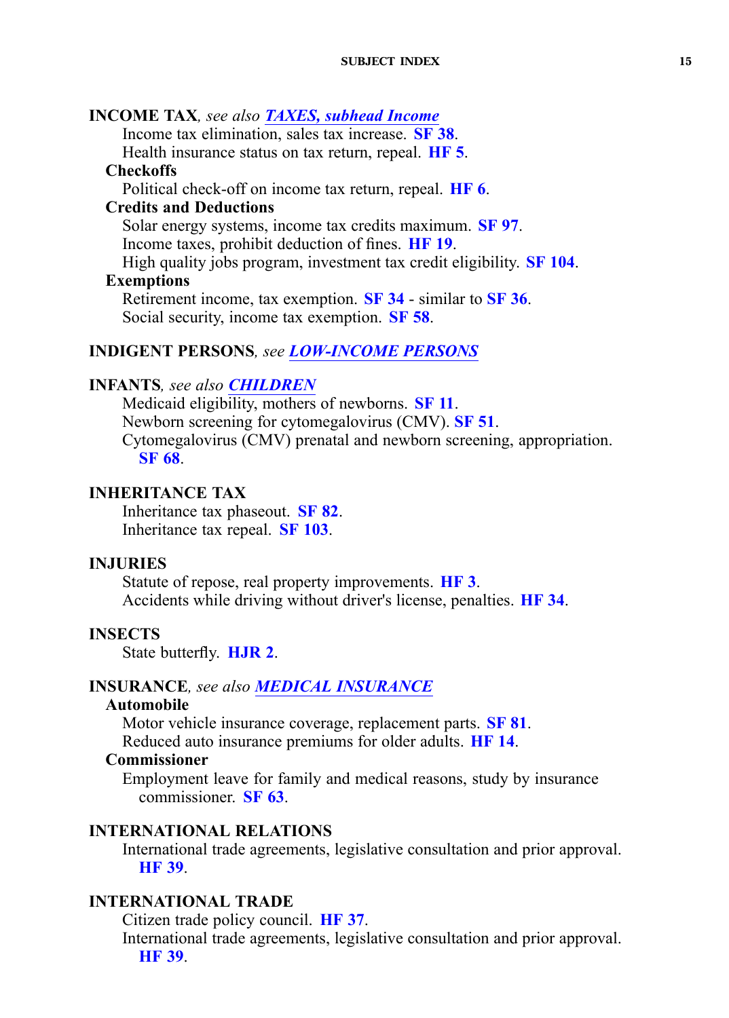<span id="page-14-0"></span>**INCOME TAX***, see also [TAXES,](#page-27-0) subhead Income* Income tax elimination, sales tax increase. **[SF](https://www.legis.iowa.gov/legislation/BillBook?ga=87&ba=SF38) 38**. Health insurance status on tax return, repeal. **[HF](https://www.legis.iowa.gov/legislation/BillBook?ga=87&ba=HF5) 5**. **Checkoffs** Political check-off on income tax return, repeal. **[HF](https://www.legis.iowa.gov/legislation/BillBook?ga=87&ba=HF6) 6**. **Credits and Deductions** Solar energy systems, income tax credits maximum. **[SF](https://www.legis.iowa.gov/legislation/BillBook?ga=87&ba=SF97) 97**. Income taxes, prohibit deduction of fines. **[HF](https://www.legis.iowa.gov/legislation/BillBook?ga=87&ba=HF19) 19**. High quality jobs program, investment tax credit eligibility. **SF [104](https://www.legis.iowa.gov/legislation/BillBook?ga=87&ba=SF104)**. **Exemptions** Retirement income, tax exemption. **[SF](https://www.legis.iowa.gov/legislation/BillBook?ga=87&ba=SF34) 34** - similar to **[SF](https://www.legis.iowa.gov/legislation/BillBook?ga=87&ba=SF36) 36**. Social security, income tax exemption. **[SF](https://www.legis.iowa.gov/legislation/BillBook?ga=87&ba=SF58) 58**.

### **INDIGENT PERSONS***, see [LOW-INCOME](#page-17-0) PERSONS*

### **INFANTS***, see also [CHILDREN](#page-4-0)*

Medicaid eligibility, mothers of newborns. **[SF](https://www.legis.iowa.gov/legislation/BillBook?ga=87&ba=SF11) 11**. Newborn screening for cytomegalovirus (CMV). **[SF](https://www.legis.iowa.gov/legislation/BillBook?ga=87&ba=SF51) 51**. Cytomegalovirus (CMV) prenatal and newborn screening, appropriation. **[SF](https://www.legis.iowa.gov/legislation/BillBook?ga=87&ba=SF68) 68**.

## **INHERITANCE TAX**

Inheritance tax phaseout. **[SF](https://www.legis.iowa.gov/legislation/BillBook?ga=87&ba=SF82) 82**. Inheritance tax repeal. **SF [103](https://www.legis.iowa.gov/legislation/BillBook?ga=87&ba=SF103)**.

#### **INJURIES**

Statute of repose, real property improvements. **[HF](https://www.legis.iowa.gov/legislation/BillBook?ga=87&ba=HF3) 3**. Accidents while driving without driver's license, penalties. **[HF](https://www.legis.iowa.gov/legislation/BillBook?ga=87&ba=HF34) 34**.

#### **INSECTS**

State butterfly. **[HJR](https://www.legis.iowa.gov/legislation/BillBook?ga=87&ba=HJR2) 2**.

#### **INSURANCE***, see also MEDICAL [INSURANCE](#page-17-0)*

### **Automobile**

Motor vehicle insurance coverage, replacement parts. **[SF](https://www.legis.iowa.gov/legislation/BillBook?ga=87&ba=SF81) 81**. Reduced auto insurance premiums for older adults. **[HF](https://www.legis.iowa.gov/legislation/BillBook?ga=87&ba=HF14) 14**.

#### **Commissioner**

Employment leave for family and medical reasons, study by insurance commissioner. **[SF](https://www.legis.iowa.gov/legislation/BillBook?ga=87&ba=SF63) 63**.

#### **INTERNATIONAL RELATIONS**

International trade agreements, legislative consultation and prior approval. **[HF](https://www.legis.iowa.gov/legislation/BillBook?ga=87&ba=HF39) 39**.

#### **INTERNATIONAL TRADE**

Citizen trade policy council. **[HF](https://www.legis.iowa.gov/legislation/BillBook?ga=87&ba=HF37) 37**.

International trade agreements, legislative consultation and prior approval. **[HF](https://www.legis.iowa.gov/legislation/BillBook?ga=87&ba=HF39) 39**.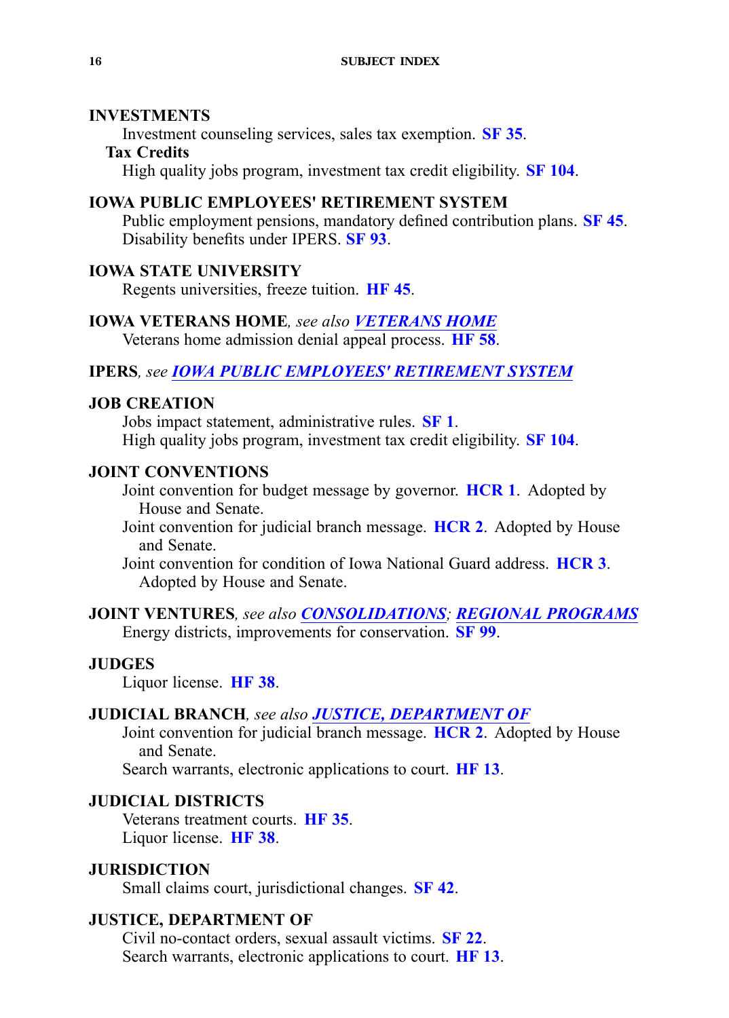### **INVESTMENTS**

Investment counseling services, sales tax exemption. **[SF](https://www.legis.iowa.gov/legislation/BillBook?ga=87&ba=SF35) 35**.

### **Tax Credits**

High quality jobs program, investment tax credit eligibility. **SF [104](https://www.legis.iowa.gov/legislation/BillBook?ga=87&ba=SF104)**.

## **IOWA PUBLIC EMPLOYEES' RETIREMENT SYSTEM**

Public employment pensions, mandatory defined contribution plans. **[SF](https://www.legis.iowa.gov/legislation/BillBook?ga=87&ba=SF45) 45**. Disability benefits under IPERS. **[SF](https://www.legis.iowa.gov/legislation/BillBook?ga=87&ba=SF93) 93**.

### **IOWA STATE UNIVERSITY**

Regents universities, freeze tuition. **[HF](https://www.legis.iowa.gov/legislation/BillBook?ga=87&ba=HF45) 45**.

#### **IOWA VETERANS HOME***, see also VETERANS HOME*

Veterans home admission denial appeal process. **[HF](https://www.legis.iowa.gov/legislation/BillBook?ga=87&ba=HF58) 58**.

### **IPERS***, see IOWA PUBLIC EMPLOYEES' RETIREMENT SYSTEM*

### **JOB CREATION**

Jobs impact statement, administrative rules. **[SF](https://www.legis.iowa.gov/legislation/BillBook?ga=87&ba=SF1) 1**. High quality jobs program, investment tax credit eligibility. **SF [104](https://www.legis.iowa.gov/legislation/BillBook?ga=87&ba=SF104)**.

### **JOINT CONVENTIONS**

Joint convention for budget message by governor. **[HCR](https://www.legis.iowa.gov/legislation/BillBook?ga=87&ba=HCR1) 1**. Adopted by House and Senate.

Joint convention for judicial branch message. **[HCR](https://www.legis.iowa.gov/legislation/BillBook?ga=87&ba=HCR2) 2**. Adopted by House and Senate.

Joint convention for condition of Iowa National Guard address. **[HCR](https://www.legis.iowa.gov/legislation/BillBook?ga=87&ba=HCR3) 3**. Adopted by House and Senate.

**JOINT VENTURES***, see also CONSOLIDATIONS; REGIONAL [PROGRAMS](#page-22-0)* Energy districts, improvements for conservation. **[SF](https://www.legis.iowa.gov/legislation/BillBook?ga=87&ba=SF99) 99**.

### **JUDGES**

Liquor license. **[HF](https://www.legis.iowa.gov/legislation/BillBook?ga=87&ba=HF38) 38**.

### **JUDICIAL BRANCH***, see also JUSTICE, DEPARTMENT OF*

Joint convention for judicial branch message. **[HCR](https://www.legis.iowa.gov/legislation/BillBook?ga=87&ba=HCR2) 2**. Adopted by House and Senate.

Search warrants, electronic applications to court. **[HF](https://www.legis.iowa.gov/legislation/BillBook?ga=87&ba=HF13) 13**.

## **JUDICIAL DISTRICTS**

Veterans treatment courts. **[HF](https://www.legis.iowa.gov/legislation/BillBook?ga=87&ba=HF35) 35**. Liquor license. **[HF](https://www.legis.iowa.gov/legislation/BillBook?ga=87&ba=HF38) 38**.

### **JURISDICTION**

Small claims court, jurisdictional changes. **[SF](https://www.legis.iowa.gov/legislation/BillBook?ga=87&ba=SF42) 42**.

### **JUSTICE, DEPARTMENT OF**

Civil no-contact orders, sexual assault victims. **[SF](https://www.legis.iowa.gov/legislation/BillBook?ga=87&ba=SF22) 22**. Search warrants, electronic applications to court. **[HF](https://www.legis.iowa.gov/legislation/BillBook?ga=87&ba=HF13) 13**.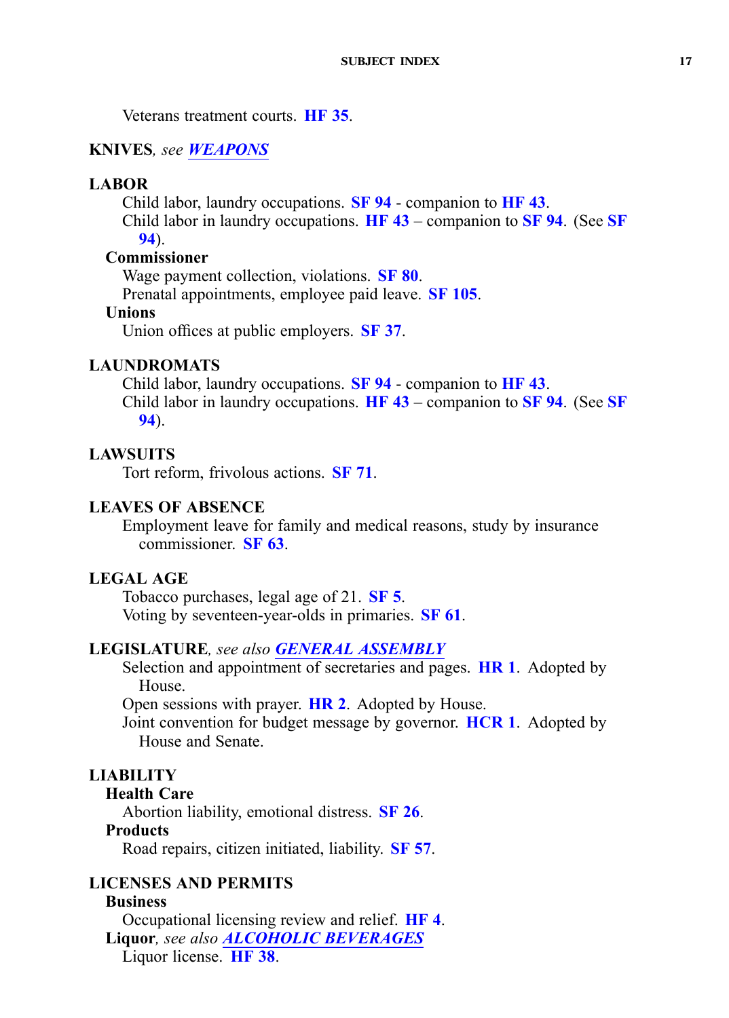<span id="page-16-0"></span>Veterans treatment courts. **[HF](https://www.legis.iowa.gov/legislation/BillBook?ga=87&ba=HF35) 35**.

#### **KNIVES***, see [WEAPONS](#page-29-0)*

#### **LABOR**

Child labor, laundry occupations. **[SF](https://www.legis.iowa.gov/legislation/BillBook?ga=87&ba=SF94) 94** - companion to **[HF](https://www.legis.iowa.gov/legislation/BillBook?ga=87&ba=HF43) 43**.

Child labor in laundry occupations. **[HF](https://www.legis.iowa.gov/legislation/BillBook?ga=87&ba=HF43) 43** – companion to **[SF](https://www.legis.iowa.gov/legislation/BillBook?ga=87&ba=SF94) 94**. (See **[SF](https://www.legis.iowa.gov/legislation/BillBook?ga=87&ba=SF94) [94](https://www.legis.iowa.gov/legislation/BillBook?ga=87&ba=SF94)**).

### **Commissioner**

Wage paymen<sup>t</sup> collection, violations. **[SF](https://www.legis.iowa.gov/legislation/BillBook?ga=87&ba=SF80) 80**.

Prenatal appointments, employee paid leave. **SF [105](https://www.legis.iowa.gov/legislation/BillBook?ga=87&ba=SF105)**.

### **Unions**

Union offices at public employers. **[SF](https://www.legis.iowa.gov/legislation/BillBook?ga=87&ba=SF37) 37**.

### **LAUNDROMATS**

Child labor, laundry occupations. **[SF](https://www.legis.iowa.gov/legislation/BillBook?ga=87&ba=SF94) 94** - companion to **[HF](https://www.legis.iowa.gov/legislation/BillBook?ga=87&ba=HF43) 43**. Child labor in laundry occupations. **[HF](https://www.legis.iowa.gov/legislation/BillBook?ga=87&ba=HF43) 43** – companion to **[SF](https://www.legis.iowa.gov/legislation/BillBook?ga=87&ba=SF94) 94**. (See **[SF](https://www.legis.iowa.gov/legislation/BillBook?ga=87&ba=SF94) [94](https://www.legis.iowa.gov/legislation/BillBook?ga=87&ba=SF94)**).

#### **LAWSUITS**

Tort reform, frivolous actions. **[SF](https://www.legis.iowa.gov/legislation/BillBook?ga=87&ba=SF71) 71**.

#### **LEAVES OF ABSENCE**

Employment leave for family and medical reasons, study by insurance commissioner. **[SF](https://www.legis.iowa.gov/legislation/BillBook?ga=87&ba=SF63) 63**.

## **LEGAL AGE**

Tobacco purchases, legal age of 21. **[SF](https://www.legis.iowa.gov/legislation/BillBook?ga=87&ba=SF5) 5**. Voting by seventeen-year-olds in primaries. **[SF](https://www.legis.iowa.gov/legislation/BillBook?ga=87&ba=SF61) 61**.

### **LEGISLATURE***, see also GENERAL [ASSEMBLY](#page-12-0)*

Selection and appointment of secretaries and pages. **[HR](https://www.legis.iowa.gov/legislation/BillBook?ga=87&ba=HR1) 1**. Adopted by House.

Open sessions with prayer. **[HR](https://www.legis.iowa.gov/legislation/BillBook?ga=87&ba=HR2) 2**. Adopted by House.

Joint convention for budget message by governor. **[HCR](https://www.legis.iowa.gov/legislation/BillBook?ga=87&ba=HCR1) 1**. Adopted by House and Senate.

### **LIABILITY**

### **Health Care**

Abortion liability, emotional distress. **[SF](https://www.legis.iowa.gov/legislation/BillBook?ga=87&ba=SF26) 26**.

#### **Products**

Road repairs, citizen initiated, liability. **[SF](https://www.legis.iowa.gov/legislation/BillBook?ga=87&ba=SF57) 57**.

## **LICENSES AND PERMITS**

### **Business**

Occupational licensing review and relief. **[HF](https://www.legis.iowa.gov/legislation/BillBook?ga=87&ba=HF4) 4**. **Liquor***, see also ALCOHOLIC [BEVERAGES](#page-2-0)* Liquor license. **[HF](https://www.legis.iowa.gov/legislation/BillBook?ga=87&ba=HF38) 38**.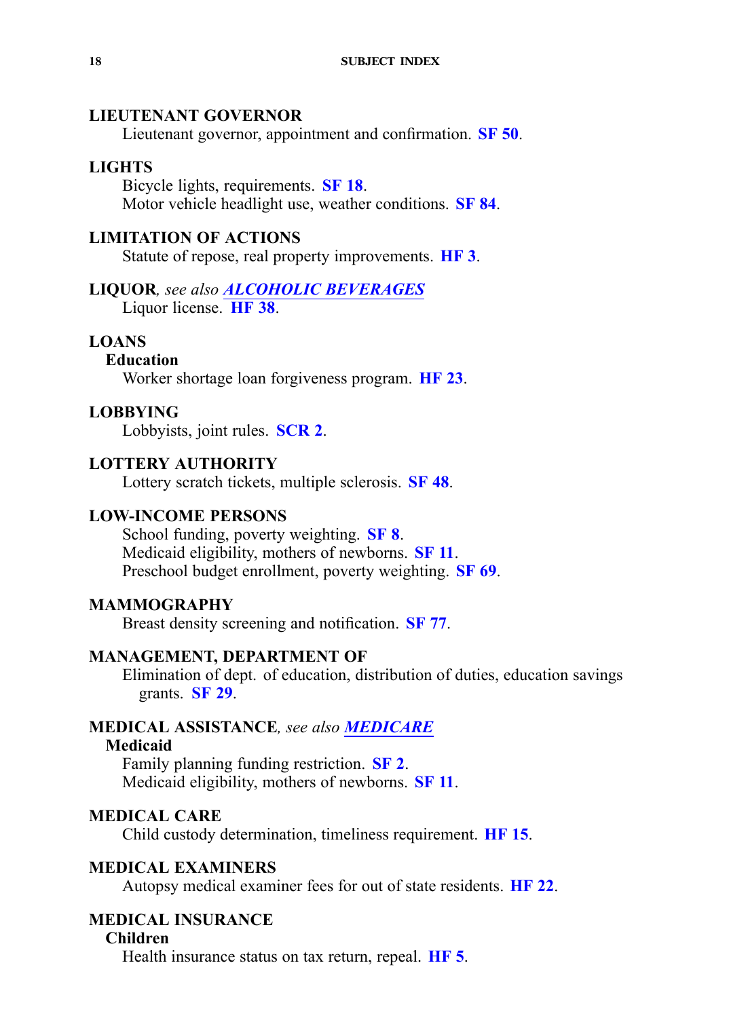### <span id="page-17-0"></span>**LIEUTENANT GOVERNOR**

Lieutenant governor, appointment and confirmation. **[SF](https://www.legis.iowa.gov/legislation/BillBook?ga=87&ba=SF50) 50**.

#### **LIGHTS**

Bicycle lights, requirements. **[SF](https://www.legis.iowa.gov/legislation/BillBook?ga=87&ba=SF18) 18**. Motor vehicle headlight use, weather conditions. **[SF](https://www.legis.iowa.gov/legislation/BillBook?ga=87&ba=SF84) 84**.

## **LIMITATION OF ACTIONS**

Statute of repose, real property improvements. **[HF](https://www.legis.iowa.gov/legislation/BillBook?ga=87&ba=HF3) 3**.

## **LIQUOR***, see also ALCOHOLIC [BEVERAGES](#page-2-0)*

Liquor license. **[HF](https://www.legis.iowa.gov/legislation/BillBook?ga=87&ba=HF38) 38**.

### **LOANS**

## **Education**

Worker shortage loan forgiveness program. **[HF](https://www.legis.iowa.gov/legislation/BillBook?ga=87&ba=HF23) 23**.

#### **LOBBYING**

Lobbyists, joint rules. **[SCR](https://www.legis.iowa.gov/legislation/BillBook?ga=87&ba=SCR2) 2**.

### **LOTTERY AUTHORITY**

Lottery scratch tickets, multiple sclerosis. **[SF](https://www.legis.iowa.gov/legislation/BillBook?ga=87&ba=SF48) 48**.

### **LOW-INCOME PERSONS**

School funding, poverty weighting. **[SF](https://www.legis.iowa.gov/legislation/BillBook?ga=87&ba=SF8) 8**. Medicaid eligibility, mothers of newborns. **[SF](https://www.legis.iowa.gov/legislation/BillBook?ga=87&ba=SF11) 11**. Preschool budget enrollment, poverty weighting. **[SF](https://www.legis.iowa.gov/legislation/BillBook?ga=87&ba=SF69) 69**.

### **MAMMOGRAPHY**

Breast density screening and notification. **[SF](https://www.legis.iowa.gov/legislation/BillBook?ga=87&ba=SF77) 77**.

### **MANAGEMENT, DEPARTMENT OF**

Elimination of dept. of education, distribution of duties, education savings grants. **[SF](https://www.legis.iowa.gov/legislation/BillBook?ga=87&ba=SF29) 29**.

### **MEDICAL ASSISTANCE***, see also MEDICARE*

#### **Medicaid**

Family planning funding restriction. **[SF](https://www.legis.iowa.gov/legislation/BillBook?ga=87&ba=SF2) 2**. Medicaid eligibility, mothers of newborns. **[SF](https://www.legis.iowa.gov/legislation/BillBook?ga=87&ba=SF11) 11**.

### **MEDICAL CARE**

Child custody determination, timeliness requirement. **[HF](https://www.legis.iowa.gov/legislation/BillBook?ga=87&ba=HF15) 15**.

### **MEDICAL EXAMINERS**

Autopsy medical examiner fees for out of state residents. **[HF](https://www.legis.iowa.gov/legislation/BillBook?ga=87&ba=HF22) 22**.

### **MEDICAL INSURANCE**

#### **Children**

Health insurance status on tax return, repeal. **[HF](https://www.legis.iowa.gov/legislation/BillBook?ga=87&ba=HF5) 5**.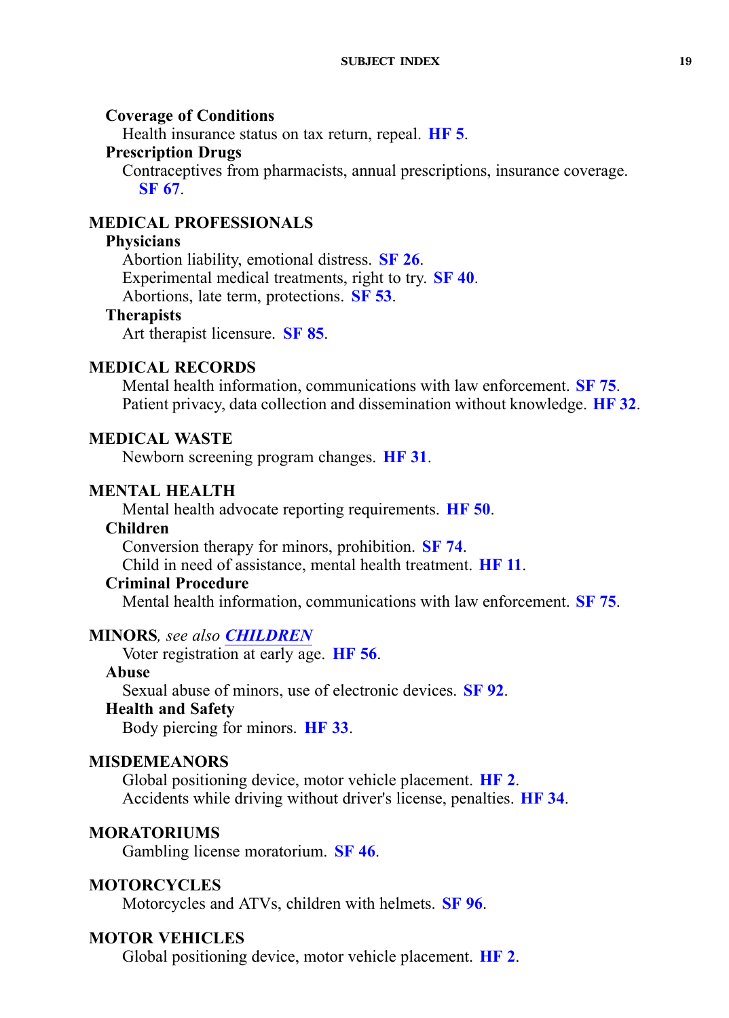### <span id="page-18-0"></span>**Coverage of Conditions**

Health insurance status on tax return, repeal. **[HF](https://www.legis.iowa.gov/legislation/BillBook?ga=87&ba=HF5) 5**.

#### **Prescription Drugs**

Contraceptives from pharmacists, annual prescriptions, insurance coverage. **[SF](https://www.legis.iowa.gov/legislation/BillBook?ga=87&ba=SF67) 67**.

## **MEDICAL PROFESSIONALS**

#### **Physicians**

Abortion liability, emotional distress. **[SF](https://www.legis.iowa.gov/legislation/BillBook?ga=87&ba=SF26) 26**. Experimental medical treatments, right to try. **[SF](https://www.legis.iowa.gov/legislation/BillBook?ga=87&ba=SF40) 40**. Abortions, late term, protections. **[SF](https://www.legis.iowa.gov/legislation/BillBook?ga=87&ba=SF53) 53**.

#### **Therapists**

Art therapist licensure. **[SF](https://www.legis.iowa.gov/legislation/BillBook?ga=87&ba=SF85) 85**.

### **MEDICAL RECORDS**

Mental health information, communications with law enforcement. **[SF](https://www.legis.iowa.gov/legislation/BillBook?ga=87&ba=SF75) 75**. Patient privacy, data collection and dissemination without knowledge. **[HF](https://www.legis.iowa.gov/legislation/BillBook?ga=87&ba=HF32) 32**.

### **MEDICAL WASTE**

Newborn screening program changes. **[HF](https://www.legis.iowa.gov/legislation/BillBook?ga=87&ba=HF31) 31**.

### **MENTAL HEALTH**

Mental health advocate reporting requirements. **[HF](https://www.legis.iowa.gov/legislation/BillBook?ga=87&ba=HF50) 50**.

### **Children**

Conversion therapy for minors, prohibition. **[SF](https://www.legis.iowa.gov/legislation/BillBook?ga=87&ba=SF74) 74**.

Child in need of assistance, mental health treatment. **[HF](https://www.legis.iowa.gov/legislation/BillBook?ga=87&ba=HF11) 11**.

### **Criminal Procedure**

Mental health information, communications with law enforcement. **[SF](https://www.legis.iowa.gov/legislation/BillBook?ga=87&ba=SF75) 75**.

### **MINORS***, see also [CHILDREN](#page-4-0)*

Voter registration at early age. **[HF](https://www.legis.iowa.gov/legislation/BillBook?ga=87&ba=HF56) 56**.

### **Abuse**

Sexual abuse of minors, use of electronic devices. **[SF](https://www.legis.iowa.gov/legislation/BillBook?ga=87&ba=SF92) 92**.

#### **Health and Safety**

Body piercing for minors. **[HF](https://www.legis.iowa.gov/legislation/BillBook?ga=87&ba=HF33) 33**.

### **MISDEMEANORS**

Global positioning device, motor vehicle placement. **[HF](https://www.legis.iowa.gov/legislation/BillBook?ga=87&ba=HF2) 2**. Accidents while driving without driver's license, penalties. **[HF](https://www.legis.iowa.gov/legislation/BillBook?ga=87&ba=HF34) 34**.

#### **MORATORIUMS**

Gambling license moratorium. **[SF](https://www.legis.iowa.gov/legislation/BillBook?ga=87&ba=SF46) 46**.

### **MOTORCYCLES**

Motorcycles and ATVs, children with helmets. **[SF](https://www.legis.iowa.gov/legislation/BillBook?ga=87&ba=SF96) 96**.

### **MOTOR VEHICLES**

Global positioning device, motor vehicle placement. **[HF](https://www.legis.iowa.gov/legislation/BillBook?ga=87&ba=HF2) 2**.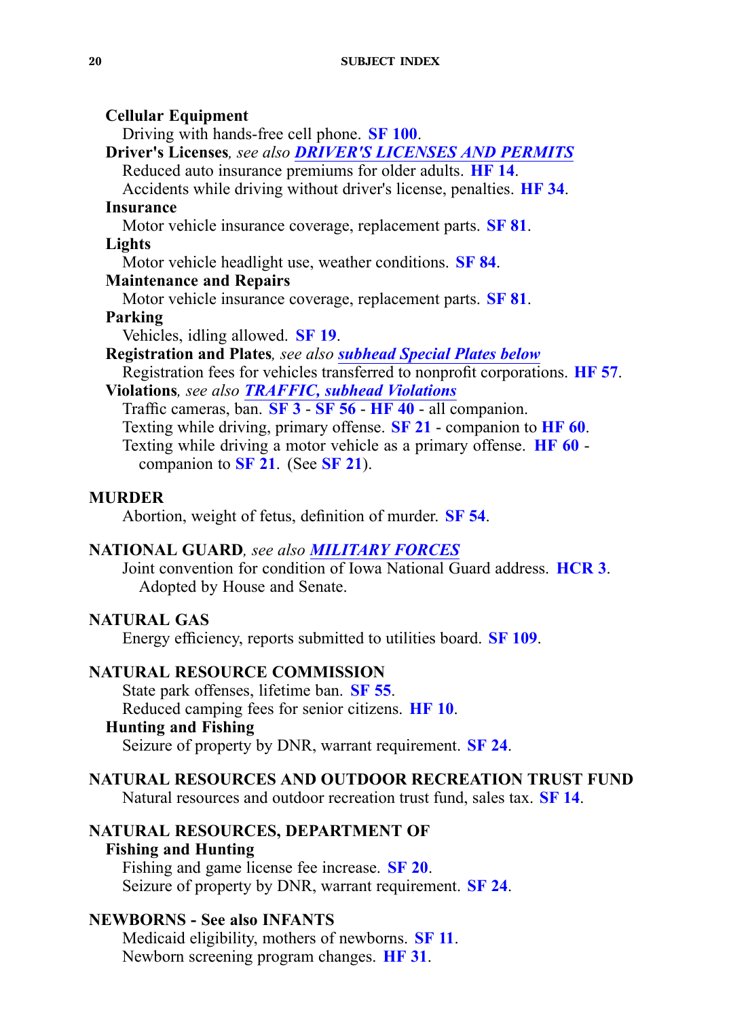#### **Cellular Equipment**

Driving with hands-free cell phone. **SF [100](https://www.legis.iowa.gov/legislation/BillBook?ga=87&ba=SF100)**.

**Driver's Licenses***, see also DRIVER'S [LICENSES](#page-8-0) AND PERMITS* Reduced auto insurance premiums for older adults. **[HF](https://www.legis.iowa.gov/legislation/BillBook?ga=87&ba=HF14) 14**.

Accidents while driving without driver's license, penalties. **[HF](https://www.legis.iowa.gov/legislation/BillBook?ga=87&ba=HF34) 34**. **Insurance**

Motor vehicle insurance coverage, replacement parts. **[SF](https://www.legis.iowa.gov/legislation/BillBook?ga=87&ba=SF81) 81**.

### **Lights**

Motor vehicle headlight use, weather conditions. **[SF](https://www.legis.iowa.gov/legislation/BillBook?ga=87&ba=SF84) 84**.

## **Maintenance and Repairs**

Motor vehicle insurance coverage, replacement parts. **[SF](https://www.legis.iowa.gov/legislation/BillBook?ga=87&ba=SF81) 81**.

### **Parking**

Vehicles, idling allowed. **[SF](https://www.legis.iowa.gov/legislation/BillBook?ga=87&ba=SF19) 19**.

**Registration and Plates***, see also subhead Special Plates below*

Registration fees for vehicles transferred to nonprofit corporations. **[HF](https://www.legis.iowa.gov/legislation/BillBook?ga=87&ba=HF57) 57**. **Violations***, see also [TRAFFIC,](#page-28-0) subhead Violations*

Traffic cameras, ban. **[SF](https://www.legis.iowa.gov/legislation/BillBook?ga=87&ba=SF3) 3** - **[SF](https://www.legis.iowa.gov/legislation/BillBook?ga=87&ba=SF56) 56** - **[HF](https://www.legis.iowa.gov/legislation/BillBook?ga=87&ba=HF40) 40** - all companion. Texting while driving, primary offense. **[SF](https://www.legis.iowa.gov/legislation/BillBook?ga=87&ba=SF21) 21** - companion to **[HF](https://www.legis.iowa.gov/legislation/BillBook?ga=87&ba=HF60) 60**. Texting while driving <sup>a</sup> motor vehicle as <sup>a</sup> primary offense. **[HF](https://www.legis.iowa.gov/legislation/BillBook?ga=87&ba=HF60) 60** companion to **[SF](https://www.legis.iowa.gov/legislation/BillBook?ga=87&ba=SF21) 21**. (See **[SF](https://www.legis.iowa.gov/legislation/BillBook?ga=87&ba=SF21) 21**).

### **MURDER**

Abortion, weight of fetus, definition of murder. **[SF](https://www.legis.iowa.gov/legislation/BillBook?ga=87&ba=SF54) 54**.

### **NATIONAL GUARD***, see also MILITARY FORCES*

Joint convention for condition of Iowa National Guard address. **[HCR](https://www.legis.iowa.gov/legislation/BillBook?ga=87&ba=HCR3) 3**. Adopted by House and Senate.

### **NATURAL GAS**

Energy efficiency, reports submitted to utilities board. **SF [109](https://www.legis.iowa.gov/legislation/BillBook?ga=87&ba=SF109)**.

### **NATURAL RESOURCE COMMISSION**

State park offenses, lifetime ban. **[SF](https://www.legis.iowa.gov/legislation/BillBook?ga=87&ba=SF55) 55**. Reduced camping fees for senior citizens. **[HF](https://www.legis.iowa.gov/legislation/BillBook?ga=87&ba=HF10) 10**. **Hunting and Fishing**

Seizure of property by DNR, warrant requirement. **[SF](https://www.legis.iowa.gov/legislation/BillBook?ga=87&ba=SF24) 24**.

### **NATURAL RESOURCES AND OUTDOOR RECREATION TRUST FUND**

Natural resources and outdoor recreation trust fund, sales tax. **[SF](https://www.legis.iowa.gov/legislation/BillBook?ga=87&ba=SF14) 14**.

### **NATURAL RESOURCES, DEPARTMENT OF Fishing and Hunting**

Fishing and game license fee increase. **[SF](https://www.legis.iowa.gov/legislation/BillBook?ga=87&ba=SF20) 20**. Seizure of property by DNR, warrant requirement. **[SF](https://www.legis.iowa.gov/legislation/BillBook?ga=87&ba=SF24) 24**.

### **NEWBORNS - See also INFANTS**

Medicaid eligibility, mothers of newborns. **[SF](https://www.legis.iowa.gov/legislation/BillBook?ga=87&ba=SF11) 11**. Newborn screening program changes. **[HF](https://www.legis.iowa.gov/legislation/BillBook?ga=87&ba=HF31) 31**.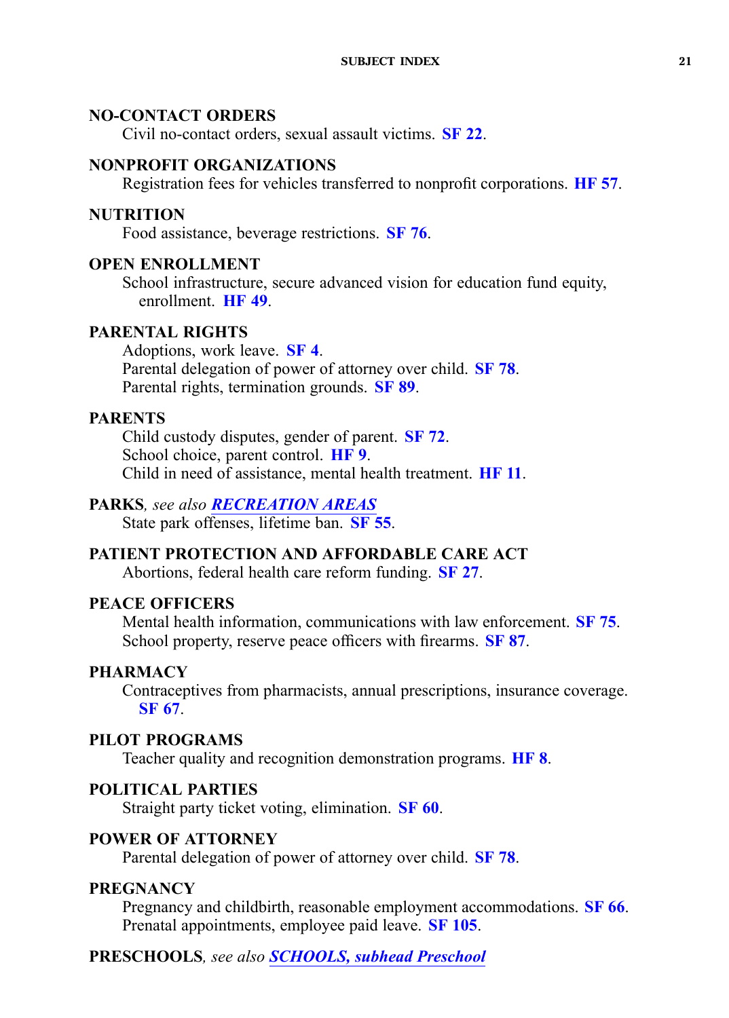## <span id="page-20-0"></span>**NO-CONTACT ORDERS**

Civil no-contact orders, sexual assault victims. **[SF](https://www.legis.iowa.gov/legislation/BillBook?ga=87&ba=SF22) 22**.

## **NONPROFIT ORGANIZATIONS**

Registration fees for vehicles transferred to nonprofit corporations. **[HF](https://www.legis.iowa.gov/legislation/BillBook?ga=87&ba=HF57) 57**.

### **NUTRITION**

Food assistance, beverage restrictions. **[SF](https://www.legis.iowa.gov/legislation/BillBook?ga=87&ba=SF76) 76**.

### **OPEN ENROLLMENT**

School infrastructure, secure advanced vision for education fund equity, enrollment. **[HF](https://www.legis.iowa.gov/legislation/BillBook?ga=87&ba=HF49) 49**.

## **PARENTAL RIGHTS**

Adoptions, work leave. **[SF](https://www.legis.iowa.gov/legislation/BillBook?ga=87&ba=SF4) 4**. Parental delegation of power of attorney over child. **[SF](https://www.legis.iowa.gov/legislation/BillBook?ga=87&ba=SF78) 78**. Parental rights, termination grounds. **[SF](https://www.legis.iowa.gov/legislation/BillBook?ga=87&ba=SF89) 89**.

## **PARENTS**

Child custody disputes, gender of parent. **[SF](https://www.legis.iowa.gov/legislation/BillBook?ga=87&ba=SF72) 72**. School choice, paren<sup>t</sup> control. **[HF](https://www.legis.iowa.gov/legislation/BillBook?ga=87&ba=HF9) 9**. Child in need of assistance, mental health treatment. **[HF](https://www.legis.iowa.gov/legislation/BillBook?ga=87&ba=HF11) 11**.

### **PARKS***, see also RECREATION AREAS*

State park offenses, lifetime ban. **[SF](https://www.legis.iowa.gov/legislation/BillBook?ga=87&ba=SF55) 55**.

## **PATIENT PROTECTION AND AFFORDABLE CARE ACT**

Abortions, federal health care reform funding. **[SF](https://www.legis.iowa.gov/legislation/BillBook?ga=87&ba=SF27) 27**.

### **PEACE OFFICERS**

Mental health information, communications with law enforcement. **[SF](https://www.legis.iowa.gov/legislation/BillBook?ga=87&ba=SF75) 75**. School property, reserve peace officers with firearms. **[SF](https://www.legis.iowa.gov/legislation/BillBook?ga=87&ba=SF87) 87**.

### **PHARMACY**

Contraceptives from pharmacists, annual prescriptions, insurance coverage. **[SF](https://www.legis.iowa.gov/legislation/BillBook?ga=87&ba=SF67) 67**.

## **PILOT PROGRAMS**

Teacher quality and recognition demonstration programs. **[HF](https://www.legis.iowa.gov/legislation/BillBook?ga=87&ba=HF8) 8**.

### **POLITICAL PARTIES**

Straight party ticket voting, elimination. **[SF](https://www.legis.iowa.gov/legislation/BillBook?ga=87&ba=SF60) 60**.

### **POWER OF ATTORNEY**

Parental delegation of power of attorney over child. **[SF](https://www.legis.iowa.gov/legislation/BillBook?ga=87&ba=SF78) 78**.

#### **PREGNANCY**

Pregnancy and childbirth, reasonable employment accommodations. **[SF](https://www.legis.iowa.gov/legislation/BillBook?ga=87&ba=SF66) 66**. Prenatal appointments, employee paid leave. **SF [105](https://www.legis.iowa.gov/legislation/BillBook?ga=87&ba=SF105)**.

### **PRESCHOOLS***, see also [SCHOOLS,](#page-24-0) subhead Preschool*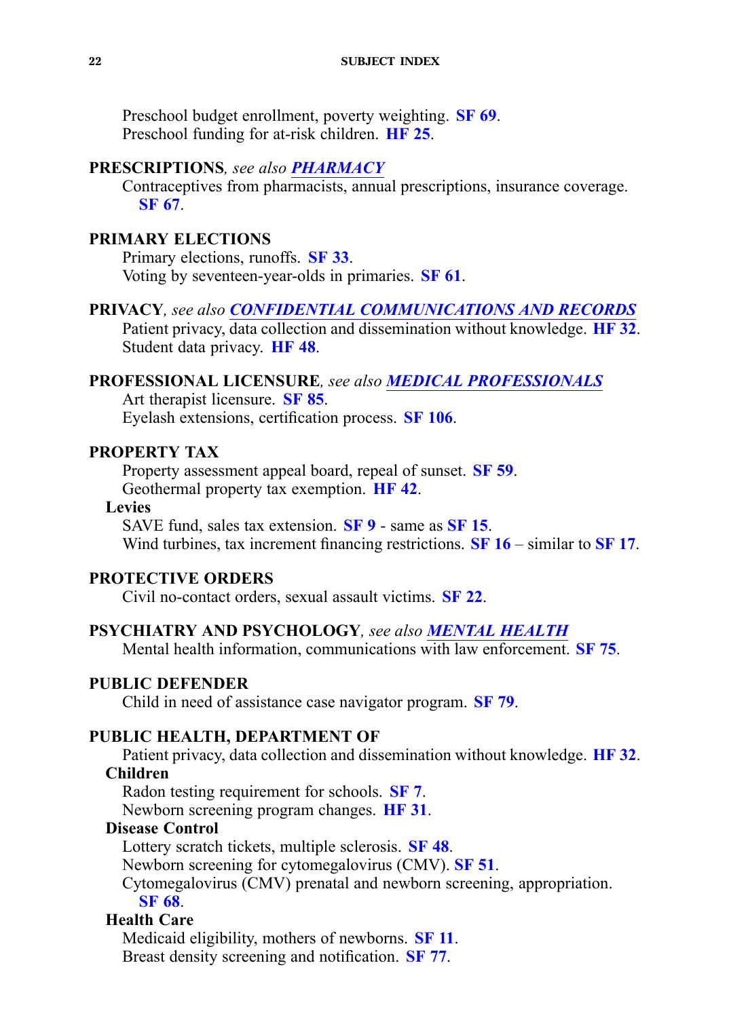<span id="page-21-0"></span>Preschool budget enrollment, poverty weighting. **[SF](https://www.legis.iowa.gov/legislation/BillBook?ga=87&ba=SF69) 69**. Preschool funding for at-risk children. **[HF](https://www.legis.iowa.gov/legislation/BillBook?ga=87&ba=HF25) 25**.

### **PRESCRIPTIONS***, see also [PHARMACY](#page-20-0)*

Contraceptives from pharmacists, annual prescriptions, insurance coverage. **[SF](https://www.legis.iowa.gov/legislation/BillBook?ga=87&ba=SF67) 67**.

### **PRIMARY ELECTIONS**

Primary elections, runoffs. **[SF](https://www.legis.iowa.gov/legislation/BillBook?ga=87&ba=SF33) 33**. Voting by seventeen-year-olds in primaries. **[SF](https://www.legis.iowa.gov/legislation/BillBook?ga=87&ba=SF61) 61**.

**PRIVACY***, see also CONFIDENTIAL [COMMUNICATIONS](#page-5-0) AND RECORDS* Patient privacy, data collection and dissemination without knowledge. **[HF](https://www.legis.iowa.gov/legislation/BillBook?ga=87&ba=HF32) 32**. Student data privacy. **[HF](https://www.legis.iowa.gov/legislation/BillBook?ga=87&ba=HF48) 48**.

### **PROFESSIONAL LICENSURE***, see also MEDICAL [PROFESSIONALS](#page-18-0)*

Art therapist licensure. **[SF](https://www.legis.iowa.gov/legislation/BillBook?ga=87&ba=SF85) 85**.

Eyelash extensions, certification process. **SF [106](https://www.legis.iowa.gov/legislation/BillBook?ga=87&ba=SF106)**.

### **PROPERTY TAX**

Property assessment appeal board, repeal of sunset. **[SF](https://www.legis.iowa.gov/legislation/BillBook?ga=87&ba=SF59) 59**. Geothermal property tax exemption. **[HF](https://www.legis.iowa.gov/legislation/BillBook?ga=87&ba=HF42) 42**.

### **Levies**

SAVE fund, sales tax extension. **[SF](https://www.legis.iowa.gov/legislation/BillBook?ga=87&ba=SF9) 9** - same as **[SF](https://www.legis.iowa.gov/legislation/BillBook?ga=87&ba=SF15) 15**. Wind turbines, tax increment financing restrictions. **[SF](https://www.legis.iowa.gov/legislation/BillBook?ga=87&ba=SF16) 16** – similar to **[SF](https://www.legis.iowa.gov/legislation/BillBook?ga=87&ba=SF17) 17**.

### **PROTECTIVE ORDERS**

Civil no-contact orders, sexual assault victims. **[SF](https://www.legis.iowa.gov/legislation/BillBook?ga=87&ba=SF22) 22**.

### **PSYCHIATRY AND PSYCHOLOGY***, see also MENTAL [HEALTH](#page-18-0)*

Mental health information, communications with law enforcement. **[SF](https://www.legis.iowa.gov/legislation/BillBook?ga=87&ba=SF75) 75**.

### **PUBLIC DEFENDER**

Child in need of assistance case navigator program. **[SF](https://www.legis.iowa.gov/legislation/BillBook?ga=87&ba=SF79) 79**.

### **PUBLIC HEALTH, DEPARTMENT OF**

Patient privacy, data collection and dissemination without knowledge. **[HF](https://www.legis.iowa.gov/legislation/BillBook?ga=87&ba=HF32) 32**. **Children**

Radon testing requirement for schools. **[SF](https://www.legis.iowa.gov/legislation/BillBook?ga=87&ba=SF7) 7**.

Newborn screening program changes. **[HF](https://www.legis.iowa.gov/legislation/BillBook?ga=87&ba=HF31) 31**.

## **Disease Control**

Lottery scratch tickets, multiple sclerosis. **[SF](https://www.legis.iowa.gov/legislation/BillBook?ga=87&ba=SF48) 48**.

Newborn screening for cytomegalovirus (CMV). **[SF](https://www.legis.iowa.gov/legislation/BillBook?ga=87&ba=SF51) 51**.

Cytomegalovirus (CMV) prenatal and newborn screening, appropriation.

**[SF](https://www.legis.iowa.gov/legislation/BillBook?ga=87&ba=SF68) 68**.

## **Health Care**

Medicaid eligibility, mothers of newborns. **[SF](https://www.legis.iowa.gov/legislation/BillBook?ga=87&ba=SF11) 11**. Breast density screening and notification. **[SF](https://www.legis.iowa.gov/legislation/BillBook?ga=87&ba=SF77) 77**.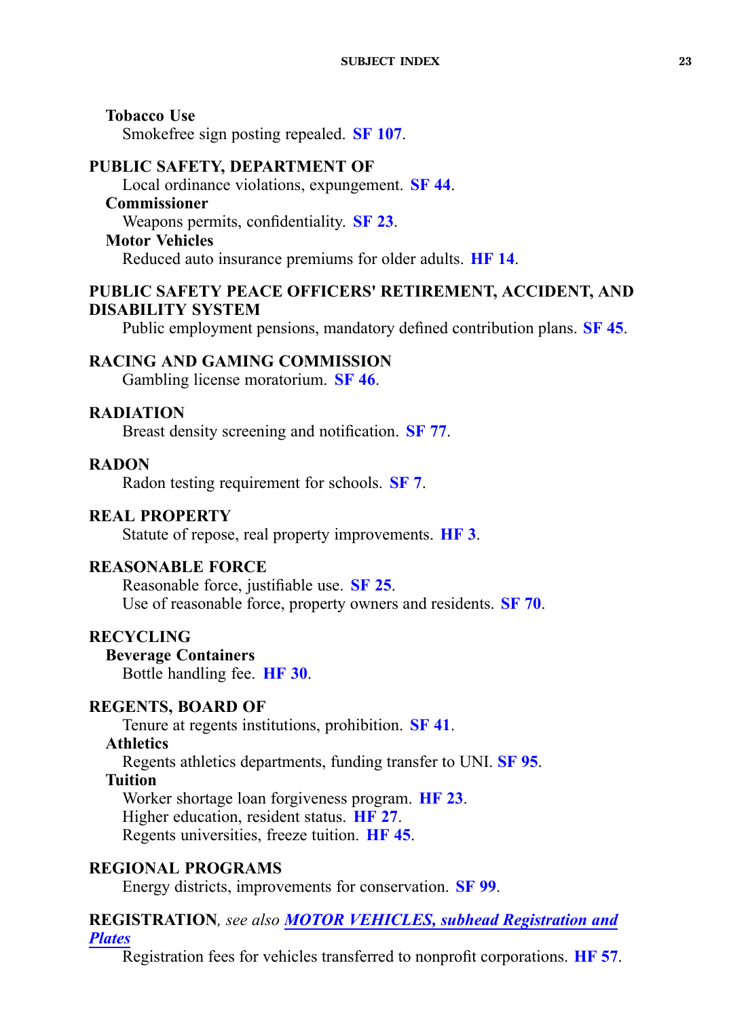<span id="page-22-0"></span>**Tobacco Use** Smokefree sign posting repealed. **SF [107](https://www.legis.iowa.gov/legislation/BillBook?ga=87&ba=SF107)**.

#### **PUBLIC SAFETY, DEPARTMENT OF**

Local ordinance violations, expungement. **[SF](https://www.legis.iowa.gov/legislation/BillBook?ga=87&ba=SF44) 44**.

## **Commissioner**

Weapons permits, confidentiality. **[SF](https://www.legis.iowa.gov/legislation/BillBook?ga=87&ba=SF23) 23**.

### **Motor Vehicles**

Reduced auto insurance premiums for older adults. **[HF](https://www.legis.iowa.gov/legislation/BillBook?ga=87&ba=HF14) 14**.

## **PUBLIC SAFETY PEACE OFFICERS' RETIREMENT, ACCIDENT, AND DISABILITY SYSTEM**

Public employment pensions, mandatory defined contribution plans. **[SF](https://www.legis.iowa.gov/legislation/BillBook?ga=87&ba=SF45) 45**.

## **RACING AND GAMING COMMISSION**

Gambling license moratorium. **[SF](https://www.legis.iowa.gov/legislation/BillBook?ga=87&ba=SF46) 46**.

### **RADIATION**

Breast density screening and notification. **[SF](https://www.legis.iowa.gov/legislation/BillBook?ga=87&ba=SF77) 77**.

### **RADON**

Radon testing requirement for schools. **[SF](https://www.legis.iowa.gov/legislation/BillBook?ga=87&ba=SF7) 7**.

### **REAL PROPERTY**

Statute of repose, real property improvements. **[HF](https://www.legis.iowa.gov/legislation/BillBook?ga=87&ba=HF3) 3**.

### **REASONABLE FORCE**

Reasonable force, justifiable use. **[SF](https://www.legis.iowa.gov/legislation/BillBook?ga=87&ba=SF25) 25**. Use of reasonable force, property owners and residents. **[SF](https://www.legis.iowa.gov/legislation/BillBook?ga=87&ba=SF70) 70**.

## **RECYCLING**

**Beverage Containers** Bottle handling fee. **[HF](https://www.legis.iowa.gov/legislation/BillBook?ga=87&ba=HF30) 30**.

### **REGENTS, BOARD OF**

Tenure at regents institutions, prohibition. **[SF](https://www.legis.iowa.gov/legislation/BillBook?ga=87&ba=SF41) 41**.

### **Athletics**

Regents athletics departments, funding transfer to UNI. **[SF](https://www.legis.iowa.gov/legislation/BillBook?ga=87&ba=SF95) 95**.

## **Tuition**

Worker shortage loan forgiveness program. **[HF](https://www.legis.iowa.gov/legislation/BillBook?ga=87&ba=HF23) 23**. Higher education, resident status. **[HF](https://www.legis.iowa.gov/legislation/BillBook?ga=87&ba=HF27) 27**. Regents universities, freeze tuition. **[HF](https://www.legis.iowa.gov/legislation/BillBook?ga=87&ba=HF45) 45**.

## **REGIONAL PROGRAMS**

Energy districts, improvements for conservation. **[SF](https://www.legis.iowa.gov/legislation/BillBook?ga=87&ba=SF99) 99**.

## **REGISTRATION***, see also MOTOR VEHICLES, subhead [Registration](#page-18-0) and [Plates](#page-18-0)*

Registration fees for vehicles transferred to nonprofit corporations. **[HF](https://www.legis.iowa.gov/legislation/BillBook?ga=87&ba=HF57) 57**.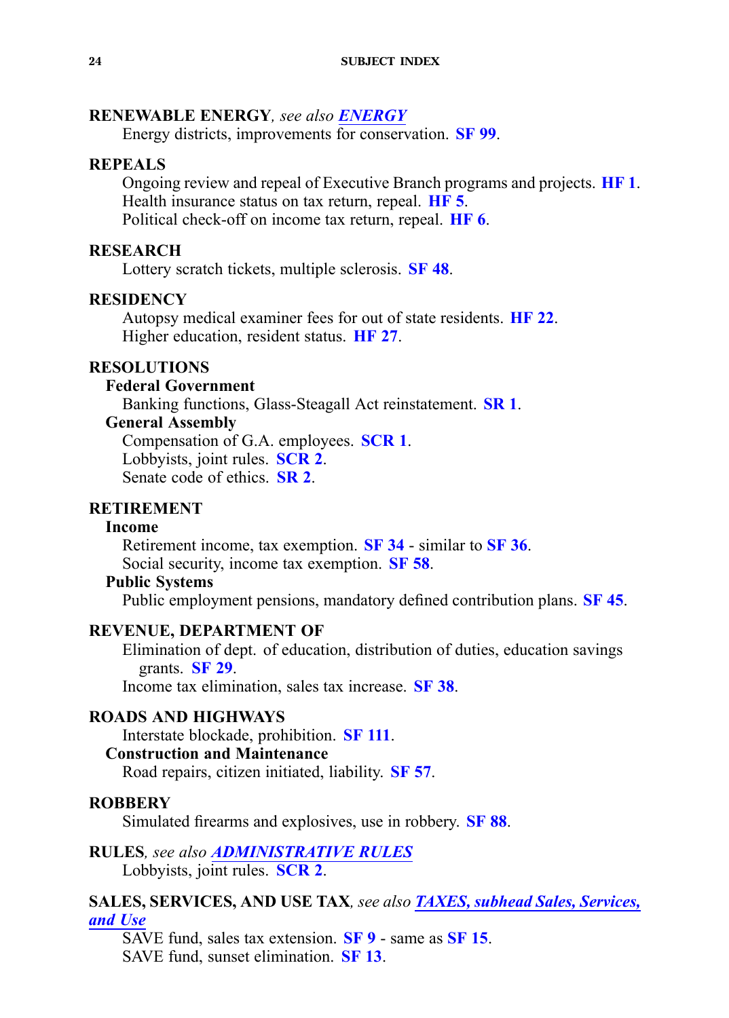### <span id="page-23-0"></span>**RENEWABLE ENERGY***, see also [ENERGY](#page-10-0)*

Energy districts, improvements for conservation. **[SF](https://www.legis.iowa.gov/legislation/BillBook?ga=87&ba=SF99) 99**.

### **REPEALS**

Ongoing review and repeal of Executive Branch programs and projects. **[HF](https://www.legis.iowa.gov/legislation/BillBook?ga=87&ba=HF1) 1**. Health insurance status on tax return, repeal. **[HF](https://www.legis.iowa.gov/legislation/BillBook?ga=87&ba=HF5) 5**. Political check-off on income tax return, repeal. **[HF](https://www.legis.iowa.gov/legislation/BillBook?ga=87&ba=HF6) 6**.

### **RESEARCH**

Lottery scratch tickets, multiple sclerosis. **[SF](https://www.legis.iowa.gov/legislation/BillBook?ga=87&ba=SF48) 48**.

### **RESIDENCY**

Autopsy medical examiner fees for out of state residents. **[HF](https://www.legis.iowa.gov/legislation/BillBook?ga=87&ba=HF22) 22**. Higher education, resident status. **[HF](https://www.legis.iowa.gov/legislation/BillBook?ga=87&ba=HF27) 27**.

## **RESOLUTIONS**

#### **Federal Government**

Banking functions, Glass-Steagall Act reinstatement. **[SR](https://www.legis.iowa.gov/legislation/BillBook?ga=87&ba=SR1) 1**.

### **General Assembly**

Compensation of G.A. employees. **[SCR](https://www.legis.iowa.gov/legislation/BillBook?ga=87&ba=SCR1) 1**. Lobbyists, joint rules. **[SCR](https://www.legis.iowa.gov/legislation/BillBook?ga=87&ba=SCR2) 2**. Senate code of ethics. **[SR](https://www.legis.iowa.gov/legislation/BillBook?ga=87&ba=SR2) 2**.

### **RETIREMENT**

### **Income**

Retirement income, tax exemption. **[SF](https://www.legis.iowa.gov/legislation/BillBook?ga=87&ba=SF34) 34** - similar to **[SF](https://www.legis.iowa.gov/legislation/BillBook?ga=87&ba=SF36) 36**. Social security, income tax exemption. **[SF](https://www.legis.iowa.gov/legislation/BillBook?ga=87&ba=SF58) 58**.

### **Public Systems**

Public employment pensions, mandatory defined contribution plans. **[SF](https://www.legis.iowa.gov/legislation/BillBook?ga=87&ba=SF45) 45**.

### **REVENUE, DEPARTMENT OF**

Elimination of dept. of education, distribution of duties, education savings grants. **[SF](https://www.legis.iowa.gov/legislation/BillBook?ga=87&ba=SF29) 29**.

Income tax elimination, sales tax increase. **[SF](https://www.legis.iowa.gov/legislation/BillBook?ga=87&ba=SF38) 38**.

### **ROADS AND HIGHWAYS**

Interstate blockade, prohibition. **SF [111](https://www.legis.iowa.gov/legislation/BillBook?ga=87&ba=SF111)**.

### **Construction and Maintenance**

Road repairs, citizen initiated, liability. **[SF](https://www.legis.iowa.gov/legislation/BillBook?ga=87&ba=SF57) 57**.

#### **ROBBERY**

Simulated firearms and explosives, use in robbery. **[SF](https://www.legis.iowa.gov/legislation/BillBook?ga=87&ba=SF88) 88**.

**RULES***, see also [ADMINISTRATIVE](#page-2-0) RULES* Lobbyists, joint rules. **[SCR](https://www.legis.iowa.gov/legislation/BillBook?ga=87&ba=SCR2) 2**.

### **SALES, SERVICES, AND USE TAX***, see also TAXES, subhead Sales, [Services,](#page-27-0) [and](#page-27-0) Use*

SAVE fund, sales tax extension. **[SF](https://www.legis.iowa.gov/legislation/BillBook?ga=87&ba=SF9) 9** - same as **[SF](https://www.legis.iowa.gov/legislation/BillBook?ga=87&ba=SF15) 15**. SAVE fund, sunset elimination. **[SF](https://www.legis.iowa.gov/legislation/BillBook?ga=87&ba=SF13) 13**.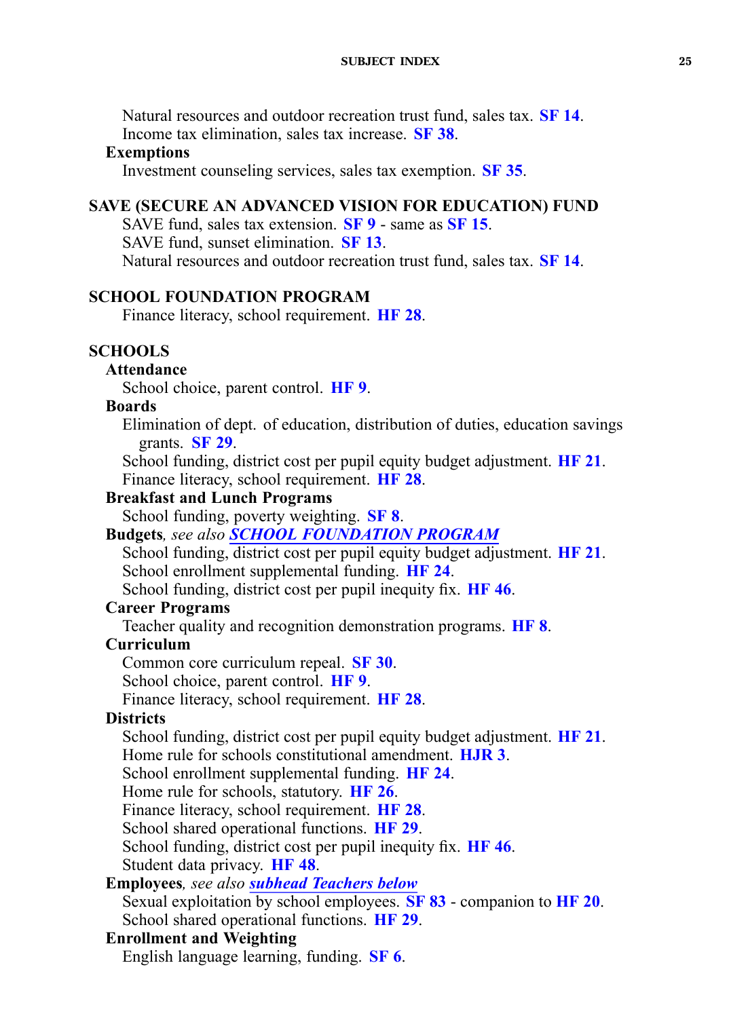<span id="page-24-0"></span>Natural resources and outdoor recreation trust fund, sales tax. **[SF](https://www.legis.iowa.gov/legislation/BillBook?ga=87&ba=SF14) 14**. Income tax elimination, sales tax increase. **[SF](https://www.legis.iowa.gov/legislation/BillBook?ga=87&ba=SF38) 38**.

#### **Exemptions**

Investment counseling services, sales tax exemption. **[SF](https://www.legis.iowa.gov/legislation/BillBook?ga=87&ba=SF35) 35**.

### **SAVE (SECURE AN ADVANCED VISION FOR EDUCATION) FUND**

SAVE fund, sales tax extension. **[SF](https://www.legis.iowa.gov/legislation/BillBook?ga=87&ba=SF9) 9** - same as **[SF](https://www.legis.iowa.gov/legislation/BillBook?ga=87&ba=SF15) 15**. SAVE fund, sunset elimination. **[SF](https://www.legis.iowa.gov/legislation/BillBook?ga=87&ba=SF13) 13**. Natural resources and outdoor recreation trust fund, sales tax. **[SF](https://www.legis.iowa.gov/legislation/BillBook?ga=87&ba=SF14) 14**.

### **SCHOOL FOUNDATION PROGRAM**

Finance literacy, school requirement. **[HF](https://www.legis.iowa.gov/legislation/BillBook?ga=87&ba=HF28) 28**.

#### **SCHOOLS**

### **Attendance**

School choice, paren<sup>t</sup> control. **[HF](https://www.legis.iowa.gov/legislation/BillBook?ga=87&ba=HF9) 9**.

#### **Boards**

Elimination of dept. of education, distribution of duties, education savings grants. **[SF](https://www.legis.iowa.gov/legislation/BillBook?ga=87&ba=SF29) 29**.

School funding, district cost per pupil equity budget adjustment. **[HF](https://www.legis.iowa.gov/legislation/BillBook?ga=87&ba=HF21) 21**. Finance literacy, school requirement. **[HF](https://www.legis.iowa.gov/legislation/BillBook?ga=87&ba=HF28) 28**.

### **Breakfast and Lunch Programs**

School funding, poverty weighting. **[SF](https://www.legis.iowa.gov/legislation/BillBook?ga=87&ba=SF8) 8**.

**Budgets***, see also SCHOOL FOUNDATION PROGRAM*

School funding, district cost per pupil equity budget adjustment. **[HF](https://www.legis.iowa.gov/legislation/BillBook?ga=87&ba=HF21) 21**. School enrollment supplemental funding. **[HF](https://www.legis.iowa.gov/legislation/BillBook?ga=87&ba=HF24) 24**.

School funding, district cost per pupil inequity fix. **[HF](https://www.legis.iowa.gov/legislation/BillBook?ga=87&ba=HF46) 46**.

### **Career Programs**

Teacher quality and recognition demonstration programs. **[HF](https://www.legis.iowa.gov/legislation/BillBook?ga=87&ba=HF8) 8**.

### **Curriculum**

Common core curriculum repeal. **[SF](https://www.legis.iowa.gov/legislation/BillBook?ga=87&ba=SF30) 30**.

School choice, paren<sup>t</sup> control. **[HF](https://www.legis.iowa.gov/legislation/BillBook?ga=87&ba=HF9) 9**.

Finance literacy, school requirement. **[HF](https://www.legis.iowa.gov/legislation/BillBook?ga=87&ba=HF28) 28**.

### **Districts**

School funding, district cost per pupil equity budget adjustment. **[HF](https://www.legis.iowa.gov/legislation/BillBook?ga=87&ba=HF21) 21**. Home rule for schools constitutional amendment. **[HJR](https://www.legis.iowa.gov/legislation/BillBook?ga=87&ba=HJR3) 3**.

School enrollment supplemental funding. **[HF](https://www.legis.iowa.gov/legislation/BillBook?ga=87&ba=HF24) 24**.

Home rule for schools, statutory. **[HF](https://www.legis.iowa.gov/legislation/BillBook?ga=87&ba=HF26) 26**.

Finance literacy, school requirement. **[HF](https://www.legis.iowa.gov/legislation/BillBook?ga=87&ba=HF28) 28**.

School shared operational functions. **[HF](https://www.legis.iowa.gov/legislation/BillBook?ga=87&ba=HF29) 29**.

School funding, district cost per pupil inequity fix. **[HF](https://www.legis.iowa.gov/legislation/BillBook?ga=87&ba=HF46) 46**.

Student data privacy. **[HF](https://www.legis.iowa.gov/legislation/BillBook?ga=87&ba=HF48) 48**.

### **Employees***, see also subhead [Teachers](#page-25-0) below* Sexual exploitation by school employees. **[SF](https://www.legis.iowa.gov/legislation/BillBook?ga=87&ba=SF83) 83** - companion to **[HF](https://www.legis.iowa.gov/legislation/BillBook?ga=87&ba=HF20) 20**. School shared operational functions. **[HF](https://www.legis.iowa.gov/legislation/BillBook?ga=87&ba=HF29) 29**.

### **Enrollment and Weighting**

English language learning, funding. **[SF](https://www.legis.iowa.gov/legislation/BillBook?ga=87&ba=SF6) 6**.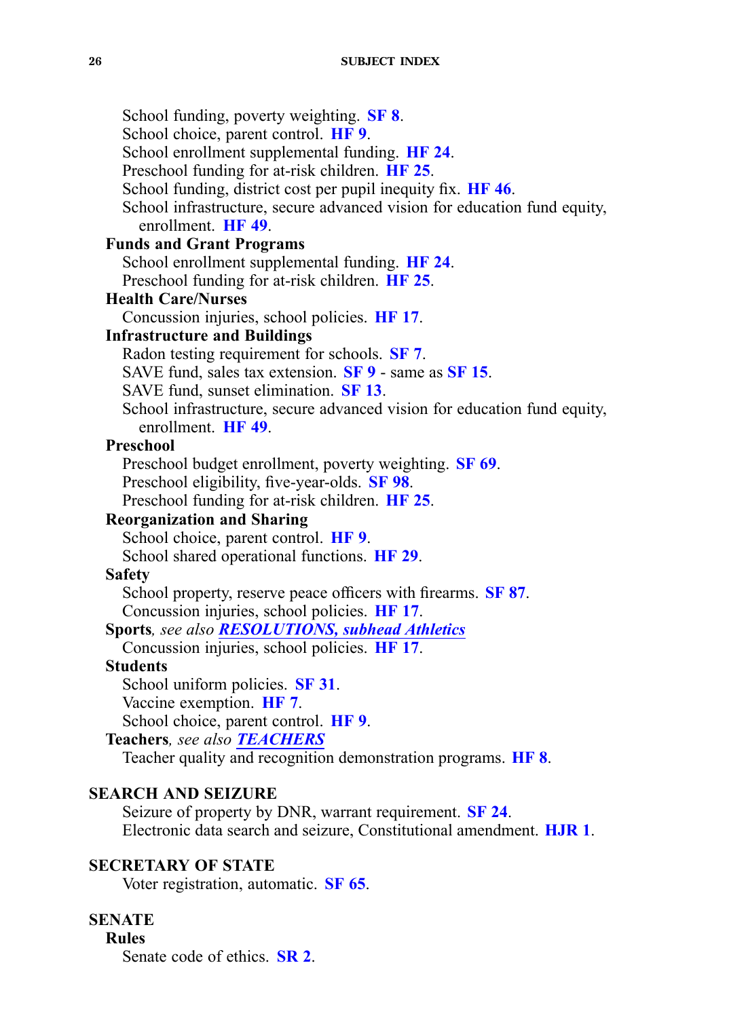<span id="page-25-0"></span>School funding, poverty weighting. **[SF](https://www.legis.iowa.gov/legislation/BillBook?ga=87&ba=SF8) 8**. School choice, paren<sup>t</sup> control. **[HF](https://www.legis.iowa.gov/legislation/BillBook?ga=87&ba=HF9) 9**. School enrollment supplemental funding. **[HF](https://www.legis.iowa.gov/legislation/BillBook?ga=87&ba=HF24) 24**. Preschool funding for at-risk children. **[HF](https://www.legis.iowa.gov/legislation/BillBook?ga=87&ba=HF25) 25**. School funding, district cost per pupil inequity fix. **[HF](https://www.legis.iowa.gov/legislation/BillBook?ga=87&ba=HF46) 46**. School infrastructure, secure advanced vision for education fund equity, enrollment. **[HF](https://www.legis.iowa.gov/legislation/BillBook?ga=87&ba=HF49) 49**. **Funds and Grant Programs** School enrollment supplemental funding. **[HF](https://www.legis.iowa.gov/legislation/BillBook?ga=87&ba=HF24) 24**. Preschool funding for at-risk children. **[HF](https://www.legis.iowa.gov/legislation/BillBook?ga=87&ba=HF25) 25**. **Health Care/Nurses** Concussion injuries, school policies. **[HF](https://www.legis.iowa.gov/legislation/BillBook?ga=87&ba=HF17) 17**. **Infrastructure and Buildings** Radon testing requirement for schools. **[SF](https://www.legis.iowa.gov/legislation/BillBook?ga=87&ba=SF7) 7**. SAVE fund, sales tax extension. **[SF](https://www.legis.iowa.gov/legislation/BillBook?ga=87&ba=SF9) 9** - same as **[SF](https://www.legis.iowa.gov/legislation/BillBook?ga=87&ba=SF15) 15**. SAVE fund, sunset elimination. **[SF](https://www.legis.iowa.gov/legislation/BillBook?ga=87&ba=SF13) 13**. School infrastructure, secure advanced vision for education fund equity, enrollment. **[HF](https://www.legis.iowa.gov/legislation/BillBook?ga=87&ba=HF49) 49**. **Preschool** Preschool budget enrollment, poverty weighting. **[SF](https://www.legis.iowa.gov/legislation/BillBook?ga=87&ba=SF69) 69**. Preschool eligibility, five-year-olds. **[SF](https://www.legis.iowa.gov/legislation/BillBook?ga=87&ba=SF98) 98**. Preschool funding for at-risk children. **[HF](https://www.legis.iowa.gov/legislation/BillBook?ga=87&ba=HF25) 25**. **Reorganization and Sharing** School choice, paren<sup>t</sup> control. **[HF](https://www.legis.iowa.gov/legislation/BillBook?ga=87&ba=HF9) 9**. School shared operational functions. **[HF](https://www.legis.iowa.gov/legislation/BillBook?ga=87&ba=HF29) 29**. **Safety** School property, reserve peace officers with firearms. **[SF](https://www.legis.iowa.gov/legislation/BillBook?ga=87&ba=SF87) 87**. Concussion injuries, school policies. **[HF](https://www.legis.iowa.gov/legislation/BillBook?ga=87&ba=HF17) 17**. **Sports***, see also [RESOLUTIONS,](#page-23-0) subhead Athletics* Concussion injuries, school policies. **[HF](https://www.legis.iowa.gov/legislation/BillBook?ga=87&ba=HF17) 17**. **Students** School uniform policies. **[SF](https://www.legis.iowa.gov/legislation/BillBook?ga=87&ba=SF31) 31**. Vaccine exemption. **[HF](https://www.legis.iowa.gov/legislation/BillBook?ga=87&ba=HF7) 7**. School choice, paren<sup>t</sup> control. **[HF](https://www.legis.iowa.gov/legislation/BillBook?ga=87&ba=HF9) 9**. **Teachers***, see also [TEACHERS](#page-27-0)* Teacher quality and recognition demonstration programs. **[HF](https://www.legis.iowa.gov/legislation/BillBook?ga=87&ba=HF8) 8**. **SEARCH AND SEIZURE**

Seizure of property by DNR, warrant requirement. **[SF](https://www.legis.iowa.gov/legislation/BillBook?ga=87&ba=SF24) 24**. Electronic data search and seizure, Constitutional amendment. **[HJR](https://www.legis.iowa.gov/legislation/BillBook?ga=87&ba=HJR1) 1**.

### **SECRETARY OF STATE**

Voter registration, automatic. **[SF](https://www.legis.iowa.gov/legislation/BillBook?ga=87&ba=SF65) 65**.

## **SENATE**

**Rules**

Senate code of ethics. **[SR](https://www.legis.iowa.gov/legislation/BillBook?ga=87&ba=SR2) 2**.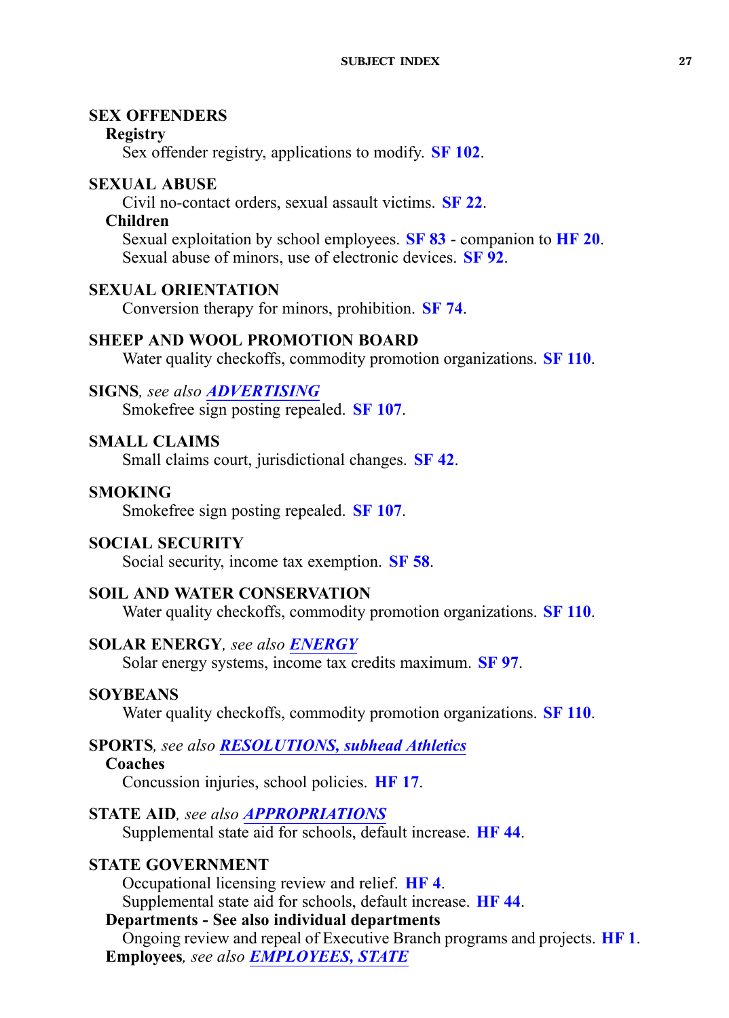## <span id="page-26-0"></span>**SEX OFFENDERS**

## **Registry**

Sex offender registry, applications to modify. **SF [102](https://www.legis.iowa.gov/legislation/BillBook?ga=87&ba=SF102)**.

## **SEXUAL ABUSE**

Civil no-contact orders, sexual assault victims. **[SF](https://www.legis.iowa.gov/legislation/BillBook?ga=87&ba=SF22) 22**.

## **Children**

Sexual exploitation by school employees. **[SF](https://www.legis.iowa.gov/legislation/BillBook?ga=87&ba=SF83) 83** - companion to **[HF](https://www.legis.iowa.gov/legislation/BillBook?ga=87&ba=HF20) 20**. Sexual abuse of minors, use of electronic devices. **[SF](https://www.legis.iowa.gov/legislation/BillBook?ga=87&ba=SF92) 92**.

## **SEXUAL ORIENTATION**

Conversion therapy for minors, prohibition. **[SF](https://www.legis.iowa.gov/legislation/BillBook?ga=87&ba=SF74) 74**.

## **SHEEP AND WOOL PROMOTION BOARD**

Water quality checkoffs, commodity promotion organizations. **SF [110](https://www.legis.iowa.gov/legislation/BillBook?ga=87&ba=SF110)**.

## **SIGNS***, see also ADVERTISING* Smokefree sign posting repealed. **SF [107](https://www.legis.iowa.gov/legislation/BillBook?ga=87&ba=SF107)**.

## **SMALL CLAIMS**

Small claims court, jurisdictional changes. **[SF](https://www.legis.iowa.gov/legislation/BillBook?ga=87&ba=SF42) 42**.

## **SMOKING**

Smokefree sign posting repealed. **SF [107](https://www.legis.iowa.gov/legislation/BillBook?ga=87&ba=SF107)**.

## **SOCIAL SECURITY**

Social security, income tax exemption. **[SF](https://www.legis.iowa.gov/legislation/BillBook?ga=87&ba=SF58) 58**.

## **SOIL AND WATER CONSERVATION**

Water quality checkoffs, commodity promotion organizations. **SF [110](https://www.legis.iowa.gov/legislation/BillBook?ga=87&ba=SF110)**.

## **SOLAR ENERGY***, see also [ENERGY](#page-10-0)*

Solar energy systems, income tax credits maximum. **[SF](https://www.legis.iowa.gov/legislation/BillBook?ga=87&ba=SF97) 97**.

## **SOYBEANS**

Water quality checkoffs, commodity promotion organizations. **SF [110](https://www.legis.iowa.gov/legislation/BillBook?ga=87&ba=SF110)**.

# **SPORTS***, see also [RESOLUTIONS,](#page-23-0) subhead Athletics*

## **Coaches**

Concussion injuries, school policies. **[HF](https://www.legis.iowa.gov/legislation/BillBook?ga=87&ba=HF17) 17**.

## **STATE AID***, see also [APPROPRIATIONS](#page-2-0)*

Supplemental state aid for schools, default increase. **[HF](https://www.legis.iowa.gov/legislation/BillBook?ga=87&ba=HF44) 44**.

## **STATE GOVERNMENT**

Occupational licensing review and relief. **[HF](https://www.legis.iowa.gov/legislation/BillBook?ga=87&ba=HF4) 4**. Supplemental state aid for schools, default increase. **[HF](https://www.legis.iowa.gov/legislation/BillBook?ga=87&ba=HF44) 44**.

**Departments - See also individual departments** Ongoing review and repeal of Executive Branch programs and projects. **[HF](https://www.legis.iowa.gov/legislation/BillBook?ga=87&ba=HF1) 1**. **Employees***, see also [EMPLOYEES,](#page-9-0) STATE*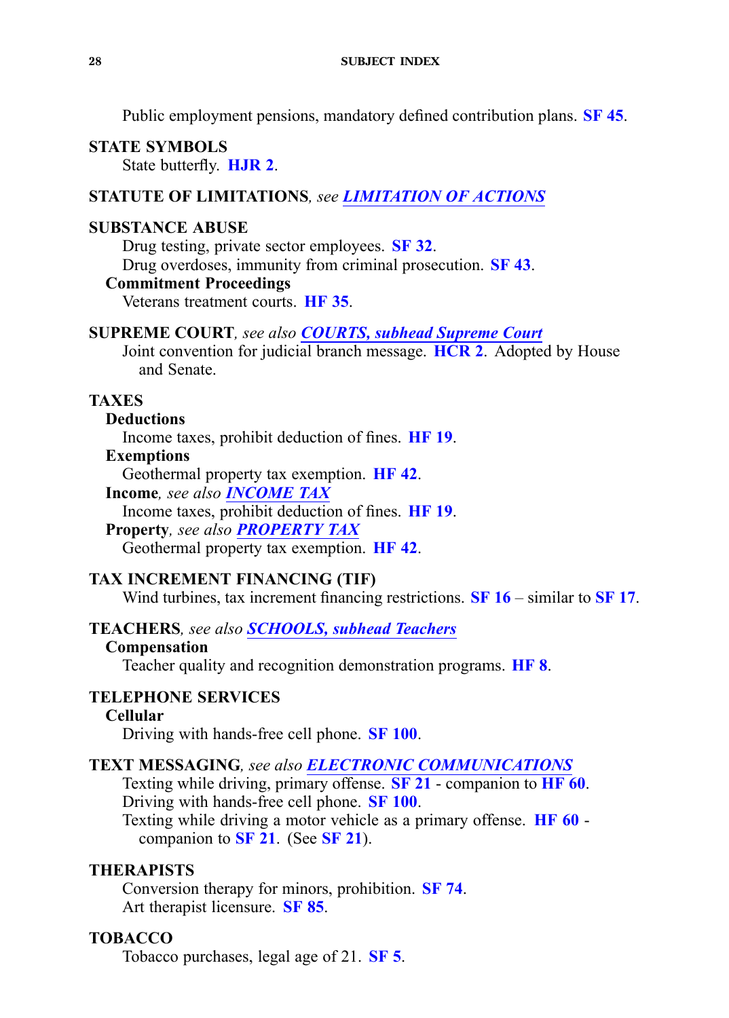<span id="page-27-0"></span>Public employment pensions, mandatory defined contribution plans. **[SF](https://www.legis.iowa.gov/legislation/BillBook?ga=87&ba=SF45) 45**.

#### **STATE SYMBOLS** State butterfly. **[HJR](https://www.legis.iowa.gov/legislation/BillBook?ga=87&ba=HJR2) 2**.

### **STATUTE OF LIMITATIONS***, see [LIMITATION](#page-17-0) OF ACTIONS*

## **SUBSTANCE ABUSE**

Drug testing, private sector employees. **[SF](https://www.legis.iowa.gov/legislation/BillBook?ga=87&ba=SF32) 32**. Drug overdoses, immunity from criminal prosecution. **[SF](https://www.legis.iowa.gov/legislation/BillBook?ga=87&ba=SF43) 43**.

### **Commitment Proceedings**

Veterans treatment courts. **[HF](https://www.legis.iowa.gov/legislation/BillBook?ga=87&ba=HF35) 35**.

#### **SUPREME COURT***, see also [COURTS,](#page-6-0) subhead Supreme Court*

Joint convention for judicial branch message. **[HCR](https://www.legis.iowa.gov/legislation/BillBook?ga=87&ba=HCR2) 2**. Adopted by House and Senate.

### **TAXES**

### **Deductions**

Income taxes, prohibit deduction of fines. **[HF](https://www.legis.iowa.gov/legislation/BillBook?ga=87&ba=HF19) 19**.

## **Exemptions**

Geothermal property tax exemption. **[HF](https://www.legis.iowa.gov/legislation/BillBook?ga=87&ba=HF42) 42**.

**Income***, see also [INCOME](#page-14-0) TAX*

Income taxes, prohibit deduction of fines. **[HF](https://www.legis.iowa.gov/legislation/BillBook?ga=87&ba=HF19) 19**.

## **Property***, see also [PROPERTY](#page-21-0) TAX*

Geothermal property tax exemption. **[HF](https://www.legis.iowa.gov/legislation/BillBook?ga=87&ba=HF42) 42**.

### **TAX INCREMENT FINANCING (TIF)**

Wind turbines, tax increment financing restrictions. **[SF](https://www.legis.iowa.gov/legislation/BillBook?ga=87&ba=SF16) 16** – similar to **[SF](https://www.legis.iowa.gov/legislation/BillBook?ga=87&ba=SF17) 17**.

### **TEACHERS***, see also [SCHOOLS,](#page-24-0) subhead Teachers*

### **Compensation**

Teacher quality and recognition demonstration programs. **[HF](https://www.legis.iowa.gov/legislation/BillBook?ga=87&ba=HF8) 8**.

## **TELEPHONE SERVICES**

### **Cellular**

Driving with hands-free cell phone. **SF [100](https://www.legis.iowa.gov/legislation/BillBook?ga=87&ba=SF100)**.

### **TEXT MESSAGING***, see also ELECTRONIC [COMMUNICATIONS](#page-9-0)*

Texting while driving, primary offense. **[SF](https://www.legis.iowa.gov/legislation/BillBook?ga=87&ba=SF21) 21** - companion to **[HF](https://www.legis.iowa.gov/legislation/BillBook?ga=87&ba=HF60) 60**. Driving with hands-free cell phone. **SF [100](https://www.legis.iowa.gov/legislation/BillBook?ga=87&ba=SF100)**.

Texting while driving <sup>a</sup> motor vehicle as <sup>a</sup> primary offense. **[HF](https://www.legis.iowa.gov/legislation/BillBook?ga=87&ba=HF60) 60** companion to **[SF](https://www.legis.iowa.gov/legislation/BillBook?ga=87&ba=SF21) 21**. (See **[SF](https://www.legis.iowa.gov/legislation/BillBook?ga=87&ba=SF21) 21**).

### **THERAPISTS**

Conversion therapy for minors, prohibition. **[SF](https://www.legis.iowa.gov/legislation/BillBook?ga=87&ba=SF74) 74**. Art therapist licensure. **[SF](https://www.legis.iowa.gov/legislation/BillBook?ga=87&ba=SF85) 85**.

### **TOBACCO**

Tobacco purchases, legal age of 21. **[SF](https://www.legis.iowa.gov/legislation/BillBook?ga=87&ba=SF5) 5**.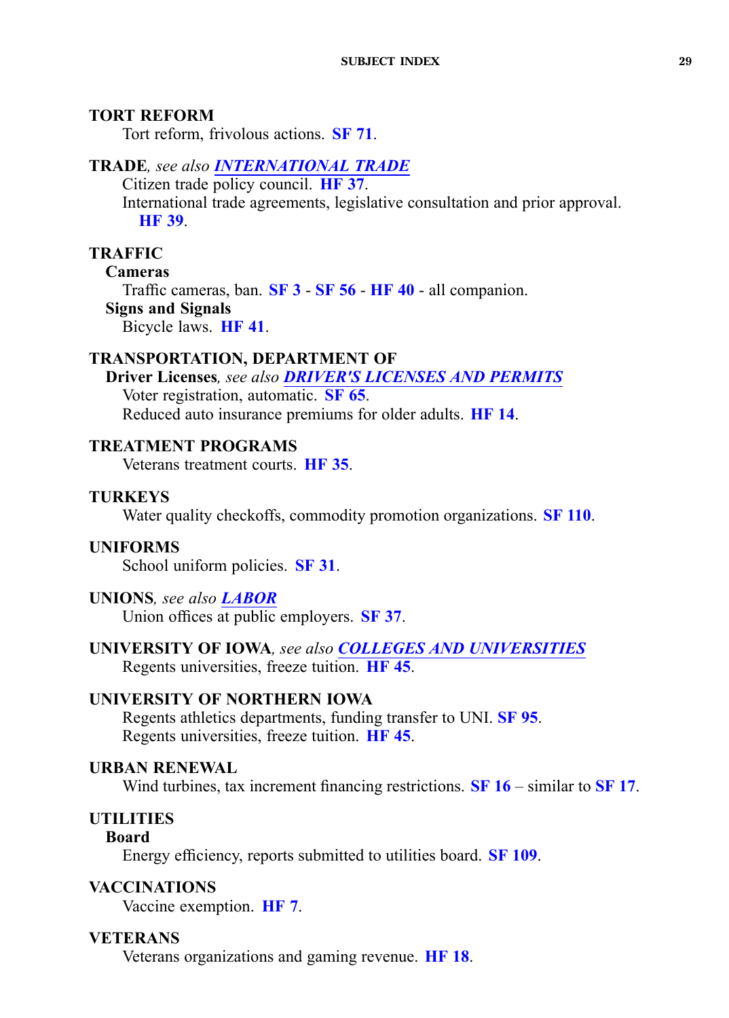### <span id="page-28-0"></span>**TORT REFORM**

Tort reform, frivolous actions. **[SF](https://www.legis.iowa.gov/legislation/BillBook?ga=87&ba=SF71) 71**.

### **TRADE***, see also [INTERNATIONAL](#page-14-0) TRADE*

Citizen trade policy council. **[HF](https://www.legis.iowa.gov/legislation/BillBook?ga=87&ba=HF37) 37**. International trade agreements, legislative consultation and prior approval. **[HF](https://www.legis.iowa.gov/legislation/BillBook?ga=87&ba=HF39) 39**.

### **TRAFFIC**

### **Cameras**

Traffic cameras, ban. **[SF](https://www.legis.iowa.gov/legislation/BillBook?ga=87&ba=SF3) 3** - **[SF](https://www.legis.iowa.gov/legislation/BillBook?ga=87&ba=SF56) 56** - **[HF](https://www.legis.iowa.gov/legislation/BillBook?ga=87&ba=HF40) 40** - all companion. **Signs and Signals**

Bicycle laws. **[HF](https://www.legis.iowa.gov/legislation/BillBook?ga=87&ba=HF41) 41**.

### **TRANSPORTATION, DEPARTMENT OF**

**Driver Licenses***, see also DRIVER'S [LICENSES](#page-8-0) AND PERMITS* Voter registration, automatic. **[SF](https://www.legis.iowa.gov/legislation/BillBook?ga=87&ba=SF65) 65**. Reduced auto insurance premiums for older adults. **[HF](https://www.legis.iowa.gov/legislation/BillBook?ga=87&ba=HF14) 14**.

### **TREATMENT PROGRAMS**

Veterans treatment courts. **[HF](https://www.legis.iowa.gov/legislation/BillBook?ga=87&ba=HF35) 35**.

### **TURKEYS**

Water quality checkoffs, commodity promotion organizations. **SF [110](https://www.legis.iowa.gov/legislation/BillBook?ga=87&ba=SF110)**.

#### **UNIFORMS**

School uniform policies. **[SF](https://www.legis.iowa.gov/legislation/BillBook?ga=87&ba=SF31) 31**.

### **UNIONS***, see also [LABOR](#page-16-0)*

Union offices at public employers. **[SF](https://www.legis.iowa.gov/legislation/BillBook?ga=87&ba=SF37) 37**.

### **UNIVERSITY OF IOWA***, see also COLLEGES AND [UNIVERSITIES](#page-5-0)* Regents universities, freeze tuition. **[HF](https://www.legis.iowa.gov/legislation/BillBook?ga=87&ba=HF45) 45**.

### **UNIVERSITY OF NORTHERN IOWA**

Regents athletics departments, funding transfer to UNI. **[SF](https://www.legis.iowa.gov/legislation/BillBook?ga=87&ba=SF95) 95**. Regents universities, freeze tuition. **[HF](https://www.legis.iowa.gov/legislation/BillBook?ga=87&ba=HF45) 45**.

## **URBAN RENEWAL**

Wind turbines, tax increment financing restrictions. **[SF](https://www.legis.iowa.gov/legislation/BillBook?ga=87&ba=SF16) 16** – similar to **[SF](https://www.legis.iowa.gov/legislation/BillBook?ga=87&ba=SF17) 17**.

## **UTILITIES**

### **Board**

Energy efficiency, reports submitted to utilities board. **SF [109](https://www.legis.iowa.gov/legislation/BillBook?ga=87&ba=SF109)**.

### **VACCINATIONS**

Vaccine exemption. **[HF](https://www.legis.iowa.gov/legislation/BillBook?ga=87&ba=HF7) 7**.

#### **VETERANS**

Veterans organizations and gaming revenue. **[HF](https://www.legis.iowa.gov/legislation/BillBook?ga=87&ba=HF18) 18**.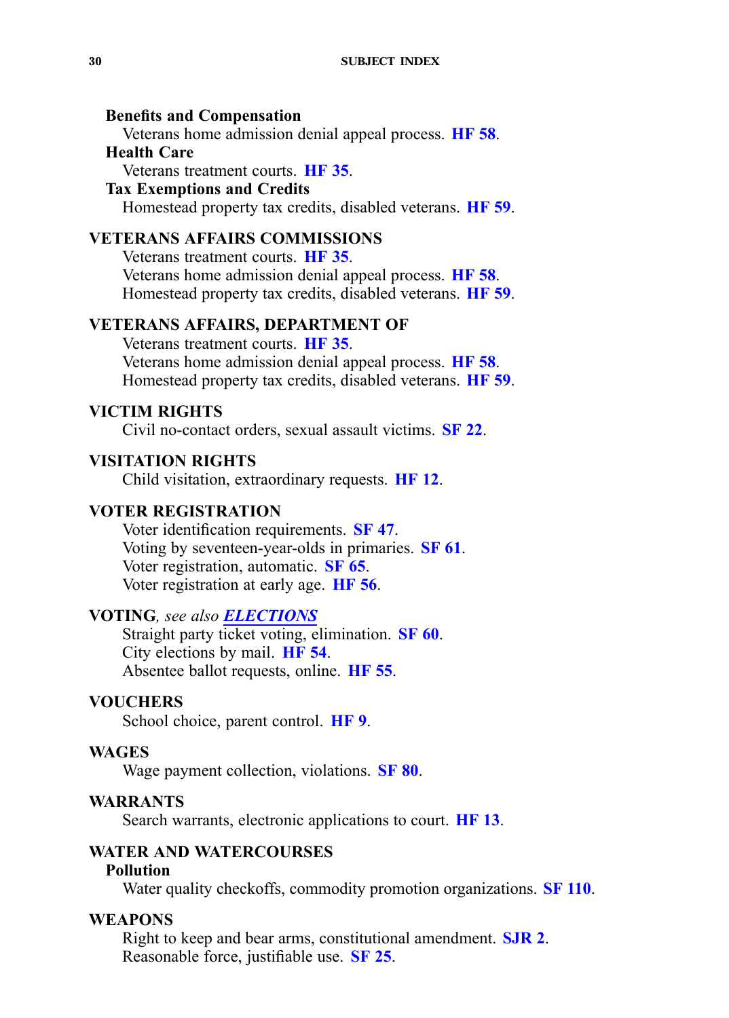#### <span id="page-29-0"></span>**Benefits and Compensation**

Veterans home admission denial appeal process. **[HF](https://www.legis.iowa.gov/legislation/BillBook?ga=87&ba=HF58) 58**.

#### **Health Care**

Veterans treatment courts. **[HF](https://www.legis.iowa.gov/legislation/BillBook?ga=87&ba=HF35) 35**.

#### **Tax Exemptions and Credits**

Homestead property tax credits, disabled veterans. **[HF](https://www.legis.iowa.gov/legislation/BillBook?ga=87&ba=HF59) 59**.

## **VETERANS AFFAIRS COMMISSIONS**

Veterans treatment courts. **[HF](https://www.legis.iowa.gov/legislation/BillBook?ga=87&ba=HF35) 35**. Veterans home admission denial appeal process. **[HF](https://www.legis.iowa.gov/legislation/BillBook?ga=87&ba=HF58) 58**. Homestead property tax credits, disabled veterans. **[HF](https://www.legis.iowa.gov/legislation/BillBook?ga=87&ba=HF59) 59**.

#### **VETERANS AFFAIRS, DEPARTMENT OF**

Veterans treatment courts. **[HF](https://www.legis.iowa.gov/legislation/BillBook?ga=87&ba=HF35) 35**. Veterans home admission denial appeal process. **[HF](https://www.legis.iowa.gov/legislation/BillBook?ga=87&ba=HF58) 58**. Homestead property tax credits, disabled veterans. **[HF](https://www.legis.iowa.gov/legislation/BillBook?ga=87&ba=HF59) 59**.

#### **VICTIM RIGHTS**

Civil no-contact orders, sexual assault victims. **[SF](https://www.legis.iowa.gov/legislation/BillBook?ga=87&ba=SF22) 22**.

### **VISITATION RIGHTS**

Child visitation, extraordinary requests. **[HF](https://www.legis.iowa.gov/legislation/BillBook?ga=87&ba=HF12) 12**.

#### **VOTER REGISTRATION**

Voter identification requirements. **[SF](https://www.legis.iowa.gov/legislation/BillBook?ga=87&ba=SF47) 47**. Voting by seventeen-year-olds in primaries. **[SF](https://www.legis.iowa.gov/legislation/BillBook?ga=87&ba=SF61) 61**. Voter registration, automatic. **[SF](https://www.legis.iowa.gov/legislation/BillBook?ga=87&ba=SF65) 65**. Voter registration at early age. **[HF](https://www.legis.iowa.gov/legislation/BillBook?ga=87&ba=HF56) 56**.

### **VOTING***, see also [ELECTIONS](#page-9-0)*

Straight party ticket voting, elimination. **[SF](https://www.legis.iowa.gov/legislation/BillBook?ga=87&ba=SF60) 60**. City elections by mail. **[HF](https://www.legis.iowa.gov/legislation/BillBook?ga=87&ba=HF54) 54**. Absentee ballot requests, online. **[HF](https://www.legis.iowa.gov/legislation/BillBook?ga=87&ba=HF55) 55**.

#### **VOUCHERS**

School choice, paren<sup>t</sup> control. **[HF](https://www.legis.iowa.gov/legislation/BillBook?ga=87&ba=HF9) 9**.

#### **WAGES**

Wage paymen<sup>t</sup> collection, violations. **[SF](https://www.legis.iowa.gov/legislation/BillBook?ga=87&ba=SF80) 80**.

#### **WARRANTS**

Search warrants, electronic applications to court. **[HF](https://www.legis.iowa.gov/legislation/BillBook?ga=87&ba=HF13) 13**.

### **WATER AND WATERCOURSES**

#### **Pollution**

Water quality checkoffs, commodity promotion organizations. **SF [110](https://www.legis.iowa.gov/legislation/BillBook?ga=87&ba=SF110)**.

### **WEAPONS**

Right to keep and bear arms, constitutional amendment. **[SJR](https://www.legis.iowa.gov/legislation/BillBook?ga=87&ba=SJR2) 2**. Reasonable force, justifiable use. **[SF](https://www.legis.iowa.gov/legislation/BillBook?ga=87&ba=SF25) 25**.